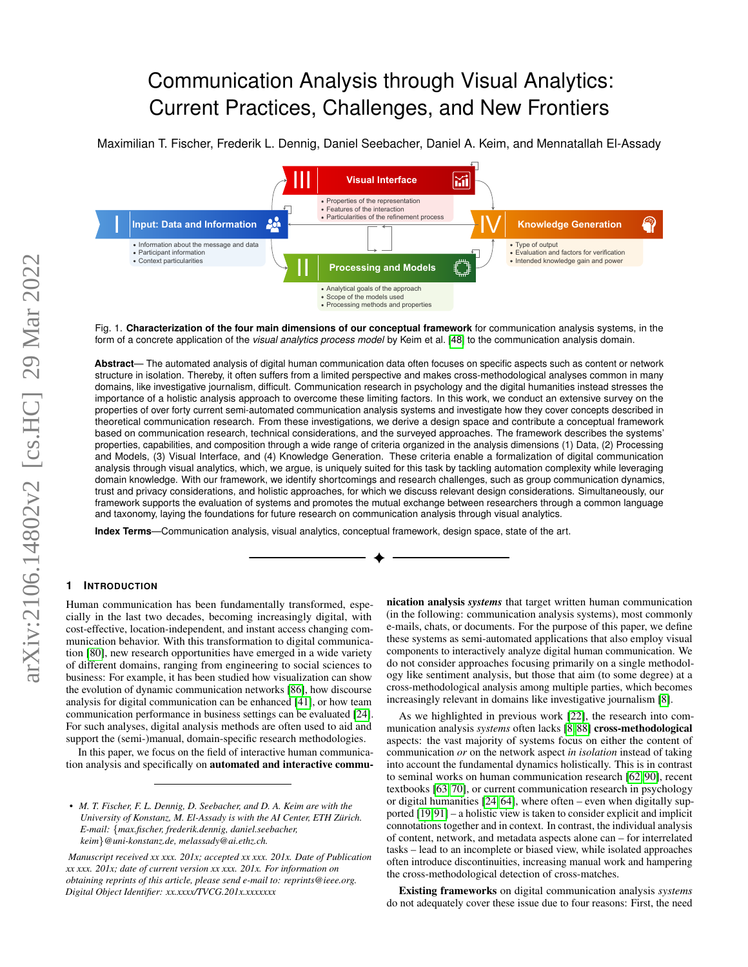# Communication Analysis through Visual Analytics: Current Practices, Challenges, and New Frontiers

Maximilian T. Fischer, Frederik L. Dennig, Daniel Seebacher, Daniel A. Keim, and Mennatallah El-Assady



<span id="page-0-0"></span>Fig. 1. **Characterization of the four main dimensions of our conceptual framework** for communication analysis systems, in the form of a concrete application of the *visual analytics process model* by Keim et al. [\[48\]](#page-9-0) to the communication analysis domain.

**Abstract**— The automated analysis of digital human communication data often focuses on specific aspects such as content or network structure in isolation. Thereby, it often suffers from a limited perspective and makes cross-methodological analyses common in many domains, like investigative journalism, difficult. Communication research in psychology and the digital humanities instead stresses the importance of a holistic analysis approach to overcome these limiting factors. In this work, we conduct an extensive survey on the properties of over forty current semi-automated communication analysis systems and investigate how they cover concepts described in theoretical communication research. From these investigations, we derive a design space and contribute a conceptual framework based on communication research, technical considerations, and the surveyed approaches. The framework describes the systems' properties, capabilities, and composition through a wide range of criteria organized in the analysis dimensions (1) Data, (2) Processing and Models, (3) Visual Interface, and (4) Knowledge Generation. These criteria enable a formalization of digital communication analysis through visual analytics, which, we argue, is uniquely suited for this task by tackling automation complexity while leveraging domain knowledge. With our framework, we identify shortcomings and research challenges, such as group communication dynamics, trust and privacy considerations, and holistic approaches, for which we discuss relevant design considerations. Simultaneously, our framework supports the evaluation of systems and promotes the mutual exchange between researchers through a common language and taxonomy, laying the foundations for future research on communication analysis through visual analytics.

**Index Terms**—Communication analysis, visual analytics, conceptual framework, design space, state of the art.

## **1 INTRODUCTION**

Human communication has been fundamentally transformed, especially in the last two decades, becoming increasingly digital, with cost-effective, location-independent, and instant access changing communication behavior. With this transformation to digital communication [\[80\]](#page-10-0), new research opportunities have emerged in a wide variety of different domains, ranging from engineering to social sciences to business: For example, it has been studied how visualization can show the evolution of dynamic communication networks [\[86\]](#page-10-1), how discourse analysis for digital communication can be enhanced [\[41\]](#page-9-1), or how team communication performance in business settings can be evaluated [\[24\]](#page-9-2). For such analyses, digital analysis methods are often used to aid and support the (semi-)manual, domain-specific research methodologies.

In this paper, we focus on the field of interactive human communication analysis and specifically on automated and interactive commu-

*• M. T. Fischer, F. L. Dennig, D. Seebacher, and D. A. Keim are with the University of Konstanz, M. El-Assady is with the AI Center, ETH Zurich. ¨ E-mail:* {*max.fischer, frederik.dennig, daniel.seebacher, keim*}*@uni-konstanz.de, melassady@ai.ethz.ch.*

*Manuscript received xx xxx. 201x; accepted xx xxx. 201x. Date of Publication xx xxx. 201x; date of current version xx xxx. 201x. For information on obtaining reprints of this article, please send e-mail to: reprints@ieee.org. Digital Object Identifier: xx.xxxx/TVCG.201x.xxxxxxx*

nication analysis *systems* that target written human communication (in the following: communication analysis systems), most commonly e-mails, chats, or documents. For the purpose of this paper, we define these systems as semi-automated applications that also employ visual components to interactively analyze digital human communication. We do not consider approaches focusing primarily on a single methodology like sentiment analysis, but those that aim (to some degree) at a cross-methodological analysis among multiple parties, which becomes increasingly relevant in domains like investigative journalism [\[8\]](#page-8-0).

As we highlighted in previous work [\[22\]](#page-9-3), the research into communication analysis *systems* often lacks [\[8,](#page-8-0) [88\]](#page-10-2) cross-methodological aspects: the vast majority of systems focus on either the content of communication *or* on the network aspect *in isolation* instead of taking into account the fundamental dynamics holistically. This is in contrast to seminal works on human communication research [\[62,](#page-10-3) [90\]](#page-10-4), recent textbooks [\[63,](#page-10-5) [70\]](#page-10-6), or current communication research in psychology or digital humanities [\[24,](#page-9-2) [64\]](#page-10-7), where often – even when digitally supported [\[19,](#page-9-4)[91\]](#page-10-8) – a holistic view is taken to consider explicit and implicit connotations together and in context. In contrast, the individual analysis of content, network, and metadata aspects alone can – for interrelated tasks – lead to an incomplete or biased view, while isolated approaches often introduce discontinuities, increasing manual work and hampering the cross-methodological detection of cross-matches.

Existing frameworks on digital communication analysis *systems* do not adequately cover these issue due to four reasons: First, the need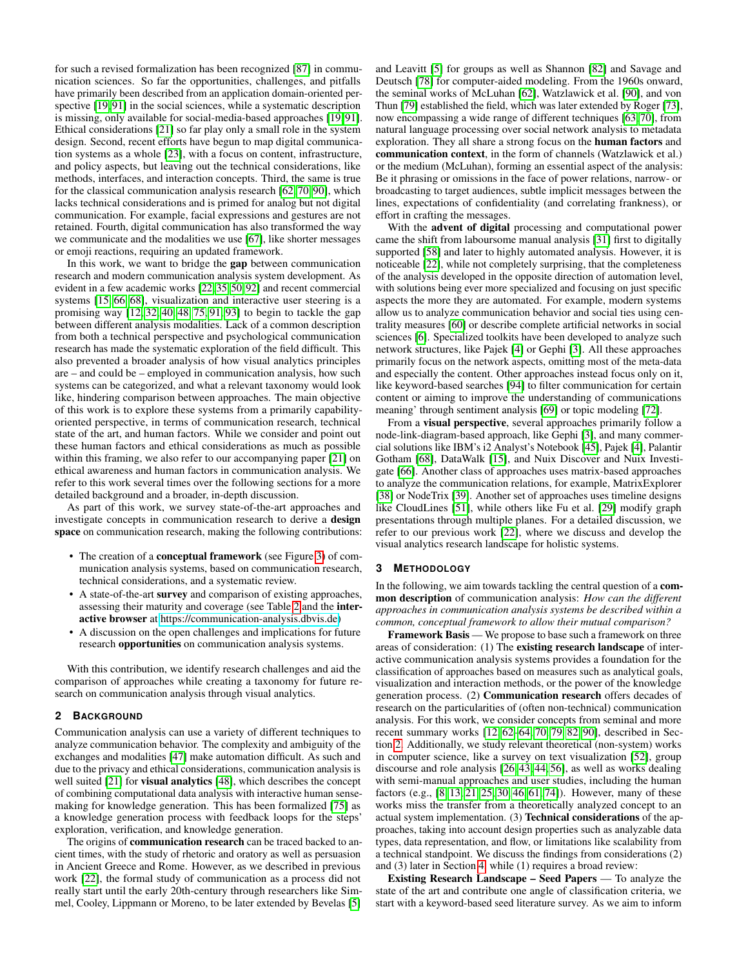for such a revised formalization has been recognized [\[87\]](#page-10-9) in communication sciences. So far the opportunities, challenges, and pitfalls have primarily been described from an application domain-oriented per-spective [\[19,](#page-9-4)91] in the social sciences, while a systematic description is missing, only available for social-media-based approaches [\[19,](#page-9-4) [91\]](#page-10-8). Ethical considerations [\[21\]](#page-9-5) so far play only a small role in the system design. Second, recent efforts have begun to map digital communication systems as a whole [\[23\]](#page-9-6), with a focus on content, infrastructure, and policy aspects, but leaving out the technical considerations, like methods, interfaces, and interaction concepts. Third, the same is true for the classical communication analysis research [\[62,](#page-10-3) [70,](#page-10-6) [90\]](#page-10-4), which lacks technical considerations and is primed for analog but not digital communication. For example, facial expressions and gestures are not retained. Fourth, digital communication has also transformed the way we communicate and the modalities we use [\[67\]](#page-10-10), like shorter messages or emoji reactions, requiring an updated framework.

In this work, we want to bridge the gap between communication research and modern communication analysis system development. As evident in a few academic works [\[22,](#page-9-3) [35,](#page-9-7) [50,](#page-9-8) [92\]](#page-10-11) and recent commercial systems [\[15,](#page-9-9) [66,](#page-10-12) [68\]](#page-10-13), visualization and interactive user steering is a promising way  $[12, 32, 40, 48, 75, 91, 93]$  $[12, 32, 40, 48, 75, 91, 93]$  $[12, 32, 40, 48, 75, 91, 93]$  $[12, 32, 40, 48, 75, 91, 93]$  $[12, 32, 40, 48, 75, 91, 93]$  $[12, 32, 40, 48, 75, 91, 93]$  $[12, 32, 40, 48, 75, 91, 93]$  to begin to tackle the gap between different analysis modalities. Lack of a common description from both a technical perspective and psychological communication research has made the systematic exploration of the field difficult. This also prevented a broader analysis of how visual analytics principles are – and could be – employed in communication analysis, how such systems can be categorized, and what a relevant taxonomy would look like, hindering comparison between approaches. The main objective of this work is to explore these systems from a primarily capabilityoriented perspective, in terms of communication research, technical state of the art, and human factors. While we consider and point out these human factors and ethical considerations as much as possible within this framing, we also refer to our accompanying paper [\[21\]](#page-9-5) on ethical awareness and human factors in communication analysis. We refer to this work several times over the following sections for a more detailed background and a broader, in-depth discussion.

As part of this work, we survey state-of-the-art approaches and investigate concepts in communication research to derive a design space on communication research, making the following contributions:

- The creation of a **conceptual framework** (see Figure [3\)](#page-3-0) of communication analysis systems, based on communication research, technical considerations, and a systematic review.
- A state-of-the-art survey and comparison of existing approaches, assessing their maturity and coverage (see Table [2](#page-5-0) and the interactive browser at [https://communication-analysis.dbvis.de\)](https://communication-analysis.dbvis.de)
- A discussion on the open challenges and implications for future research opportunities on communication analysis systems.

With this contribution, we identify research challenges and aid the comparison of approaches while creating a taxonomy for future research on communication analysis through visual analytics.

# <span id="page-1-0"></span>**2 BACKGROUND**

Communication analysis can use a variety of different techniques to analyze communication behavior. The complexity and ambiguity of the exchanges and modalities [\[47\]](#page-9-12) make automation difficult. As such and due to the privacy and ethical considerations, communication analysis is well suited  $[21]$  for **visual analytics**  $[48]$ , which describes the concept of combining computational data analysis with interactive human sensemaking for knowledge generation. This has been formalized [\[75\]](#page-10-14) as a knowledge generation process with feedback loops for the steps' exploration, verification, and knowledge generation.

The origins of **communication research** can be traced backed to ancient times, with the study of rhetoric and oratory as well as persuasion in Ancient Greece and Rome. However, as we described in previous work [\[22\]](#page-9-3), the formal study of communication as a process did not really start until the early 20th-century through researchers like Simmel, Cooley, Lippmann or Moreno, to be later extended by Bevelas [\[5\]](#page-8-2)

and Leavitt [\[5\]](#page-8-2) for groups as well as Shannon [\[82\]](#page-10-16) and Savage and Deutsch [\[78\]](#page-10-17) for computer-aided modeling. From the 1960s onward, the seminal works of McLuhan [\[62\]](#page-10-3), Watzlawick et al. [\[90\]](#page-10-4), and von Thun [\[79\]](#page-10-18) established the field, which was later extended by Roger [\[73\]](#page-10-19), now encompassing a wide range of different techniques [\[63,](#page-10-5) [70\]](#page-10-6), from natural language processing over social network analysis to metadata exploration. They all share a strong focus on the human factors and communication context, in the form of channels (Watzlawick et al.) or the medium (McLuhan), forming an essential aspect of the analysis: Be it phrasing or omissions in the face of power relations, narrow- or broadcasting to target audiences, subtle implicit messages between the lines, expectations of confidentiality (and correlating frankness), or effort in crafting the messages.

With the advent of digital processing and computational power came the shift from laboursome manual analysis [\[31\]](#page-9-13) first to digitally supported [\[58\]](#page-10-20) and later to highly automated analysis. However, it is noticeable [\[22\]](#page-9-3), while not completely surprising, that the completeness of the analysis developed in the opposite direction of automation level, with solutions being ever more specialized and focusing on just specific aspects the more they are automated. For example, modern systems allow us to analyze communication behavior and social ties using centrality measures [\[60\]](#page-10-21) or describe complete artificial networks in social sciences [\[6\]](#page-8-3). Specialized toolkits have been developed to analyze such network structures, like Pajek [\[4\]](#page-8-4) or Gephi [\[3\]](#page-8-5). All these approaches primarily focus on the network aspects, omitting most of the meta-data and especially the content. Other approaches instead focus only on it, like keyword-based searches [\[94\]](#page-10-22) to filter communication for certain content or aiming to improve the understanding of communications meaning' through sentiment analysis [\[69\]](#page-10-23) or topic modeling [\[72\]](#page-10-24).

From a visual perspective, several approaches primarily follow a node-link-diagram-based approach, like Gephi [\[3\]](#page-8-5), and many commercial solutions like IBM's i2 Analyst's Notebook [\[45\]](#page-9-14), Pajek [\[4\]](#page-8-4), Palantir Gotham [\[68\]](#page-10-13), DataWalk [\[15\]](#page-9-9), and Nuix Discover and Nuix Investigate [\[66\]](#page-10-12). Another class of approaches uses matrix-based approaches to analyze the communication relations, for example, MatrixExplorer [\[38\]](#page-9-15) or NodeTrix [\[39\]](#page-9-16). Another set of approaches uses timeline designs like CloudLines [\[51\]](#page-9-17), while others like Fu et al. [\[29\]](#page-9-18) modify graph presentations through multiple planes. For a detailed discussion, we refer to our previous work [\[22\]](#page-9-3), where we discuss and develop the visual analytics research landscape for holistic systems.

## <span id="page-1-1"></span>**3 METHODOLOGY**

In the following, we aim towards tackling the central question of a **com**mon description of communication analysis: *How can the different approaches in communication analysis systems be described within a common, conceptual framework to allow their mutual comparison?*

Framework Basis — We propose to base such a framework on three areas of consideration: (1) The existing research landscape of interactive communication analysis systems provides a foundation for the classification of approaches based on measures such as analytical goals, visualization and interaction methods, or the power of the knowledge generation process. (2) Communication research offers decades of research on the particularities of (often non-technical) communication analysis. For this work, we consider concepts from seminal and more recent summary works [\[12,](#page-8-1) [62–](#page-10-3)[64,](#page-10-7) [70,](#page-10-6) [79,](#page-10-18) [82,](#page-10-16) [90\]](#page-10-4), described in Section [2.](#page-1-0) Additionally, we study relevant theoretical (non-system) works in computer science, like a survey on text visualization [\[52\]](#page-9-19), group discourse and role analysis [\[26,](#page-9-20) [43,](#page-9-21) [44,](#page-9-22) [56\]](#page-10-25), as well as works dealing with semi-manual approaches and user studies, including the human factors (e.g., [\[8,](#page-8-0) [13,](#page-8-6) [21,](#page-9-5) [25,](#page-9-23) [30,](#page-9-24) [46,](#page-9-25) [61,](#page-10-26) [74\]](#page-10-27)). However, many of these works miss the transfer from a theoretically analyzed concept to an actual system implementation. (3) Technical considerations of the approaches, taking into account design properties such as analyzable data types, data representation, and flow, or limitations like scalability from a technical standpoint. We discuss the findings from considerations (2) and (3) later in Section [4,](#page-2-0) while (1) requires a broad review:

Existing Research Landscape – Seed Papers — To analyze the state of the art and contribute one angle of classification criteria, we start with a keyword-based seed literature survey. As we aim to inform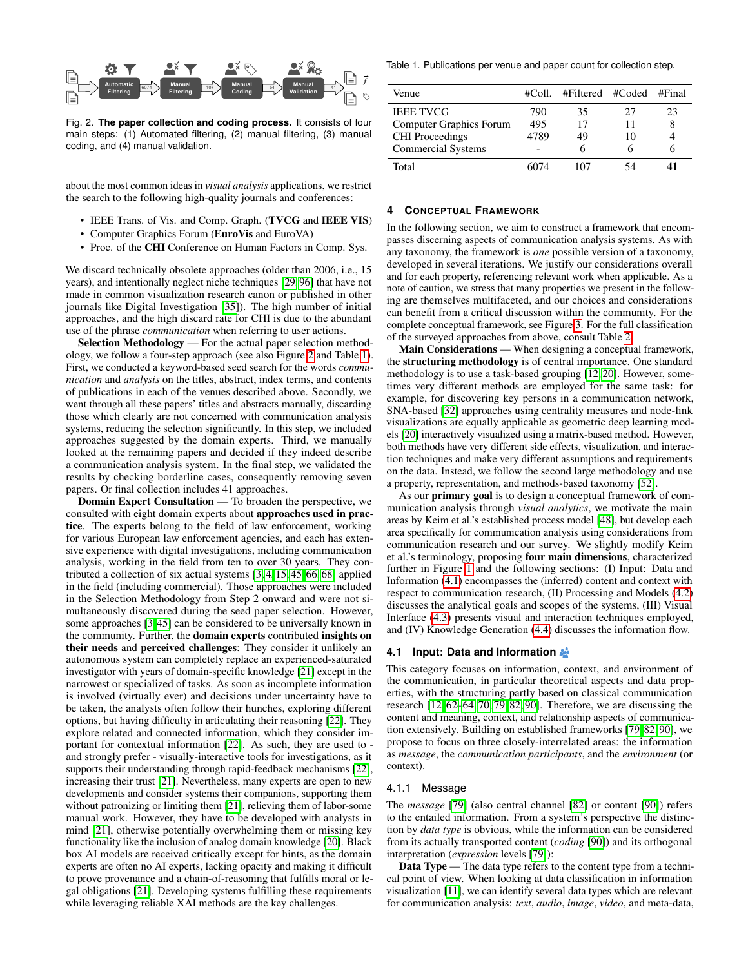<span id="page-2-1"></span>

Fig. 2. **The paper collection and coding process.** It consists of four main steps: (1) Automated filtering, (2) manual filtering, (3) manual coding, and (4) manual validation.

about the most common ideas in *visual analysis* applications, we restrict the search to the following high-quality journals and conferences:

- IEEE Trans. of Vis. and Comp. Graph. (TVCG and IEEE VIS)
- Computer Graphics Forum (EuroVis and EuroVA)
- Proc. of the CHI Conference on Human Factors in Comp. Sys.

We discard technically obsolete approaches (older than 2006, i.e., 15 years), and intentionally neglect niche techniques [\[29,](#page-9-18) [96\]](#page-10-28) that have not made in common visualization research canon or published in other journals like Digital Investigation [\[35\]](#page-9-7)). The high number of initial approaches, and the high discard rate for CHI is due to the abundant use of the phrase *communication* when referring to user actions.

Selection Methodology — For the actual paper selection methodology, we follow a four-step approach (see also Figure [2](#page-2-1) and Table [1\)](#page-2-2). First, we conducted a keyword-based seed search for the words *communication* and *analysis* on the titles, abstract, index terms, and contents of publications in each of the venues described above. Secondly, we went through all these papers' titles and abstracts manually, discarding those which clearly are not concerned with communication analysis systems, reducing the selection significantly. In this step, we included approaches suggested by the domain experts. Third, we manually looked at the remaining papers and decided if they indeed describe a communication analysis system. In the final step, we validated the results by checking borderline cases, consequently removing seven papers. Or final collection includes 41 approaches.

Domain Expert Consultation — To broaden the perspective, we consulted with eight domain experts about approaches used in practice. The experts belong to the field of law enforcement, working for various European law enforcement agencies, and each has extensive experience with digital investigations, including communication analysis, working in the field from ten to over 30 years. They contributed a collection of six actual systems [\[3,](#page-8-5) [4,](#page-8-4) [15,](#page-9-9) [45,](#page-9-14) [66,](#page-10-12) [68\]](#page-10-13) applied in the field (including commercial). Those approaches were included in the Selection Methodology from Step 2 onward and were not simultaneously discovered during the seed paper selection. However, some approaches [\[3,](#page-8-5) [45\]](#page-9-14) can be considered to be universally known in the community. Further, the domain experts contributed insights on their needs and perceived challenges: They consider it unlikely an autonomous system can completely replace an experienced-saturated investigator with years of domain-specific knowledge [\[21\]](#page-9-5) except in the narrowest or specialized of tasks. As soon as incomplete information is involved (virtually ever) and decisions under uncertainty have to be taken, the analysts often follow their hunches, exploring different options, but having difficulty in articulating their reasoning [\[22\]](#page-9-3). They explore related and connected information, which they consider important for contextual information [\[22\]](#page-9-3). As such, they are used to and strongly prefer - visually-interactive tools for investigations, as it supports their understanding through rapid-feedback mechanisms [\[22\]](#page-9-3), increasing their trust [\[21\]](#page-9-5). Nevertheless, many experts are open to new developments and consider systems their companions, supporting them without patronizing or limiting them [\[21\]](#page-9-5), relieving them of labor-some manual work. However, they have to be developed with analysts in mind [\[21\]](#page-9-5), otherwise potentially overwhelming them or missing key functionality like the inclusion of analog domain knowledge [\[20\]](#page-9-26). Black box AI models are received critically except for hints, as the domain experts are often no AI experts, lacking opacity and making it difficult to prove provenance and a chain-of-reasoning that fulfills moral or legal obligations [\[21\]](#page-9-5). Developing systems fulfilling these requirements while leveraging reliable XAI methods are the key challenges.

<span id="page-2-2"></span>Table 1. Publications per venue and paper count for collection step.

| Venue                     | #Coll | #Filtered #Coded |    | #Final |
|---------------------------|-------|------------------|----|--------|
| <b>IEEE TVCG</b>          | 790   | 35               | 27 | 23     |
| Computer Graphics Forum   | 495   | 17               | 11 | 8      |
| <b>CHI</b> Proceedings    | 4789  | 49               | 10 |        |
| <b>Commercial Systems</b> |       |                  |    |        |
| Total                     | 6074  | 107              | 54 |        |

#### <span id="page-2-0"></span>**4 CONCEPTUAL FRAMEWORK**

In the following section, we aim to construct a framework that encompasses discerning aspects of communication analysis systems. As with any taxonomy, the framework is *one* possible version of a taxonomy, developed in several iterations. We justify our considerations overall and for each property, referencing relevant work when applicable. As a note of caution, we stress that many properties we present in the following are themselves multifaceted, and our choices and considerations can benefit from a critical discussion within the community. For the complete conceptual framework, see Figure [3.](#page-3-0) For the full classification of the surveyed approaches from above, consult Table [2.](#page-5-0)

Main Considerations — When designing a conceptual framework, the structuring methodology is of central importance. One standard methodology is to use a task-based grouping [\[12,](#page-8-1) [20\]](#page-9-26). However, sometimes very different methods are employed for the same task: for example, for discovering key persons in a communication network, SNA-based [\[32\]](#page-9-10) approaches using centrality measures and node-link visualizations are equally applicable as geometric deep learning models [\[20\]](#page-9-26) interactively visualized using a matrix-based method. However, both methods have very different side effects, visualization, and interaction techniques and make very different assumptions and requirements on the data. Instead, we follow the second large methodology and use a property, representation, and methods-based taxonomy [\[52\]](#page-9-19).

As our primary goal is to design a conceptual framework of communication analysis through *visual analytics*, we motivate the main areas by Keim et al.'s established process model [\[48\]](#page-9-0), but develop each area specifically for communication analysis using considerations from communication research and our survey. We slightly modify Keim et al.'s terminology, proposing four main dimensions, characterized further in Figure [1](#page-0-0) and the following sections: (I) Input: Data and Information [\(4.1\)](#page-2-3) encompasses the (inferred) content and context with respect to communication research, (II) Processing and Models [\(4.2\)](#page-4-0) discusses the analytical goals and scopes of the systems, (III) Visual Interface [\(4.3\)](#page-4-1) presents visual and interaction techniques employed, and (IV) Knowledge Generation [\(4.4\)](#page-6-0) discusses the information flow.

#### <span id="page-2-3"></span>**4.1 Input: Data and Information**

This category focuses on information, context, and environment of the communication, in particular theoretical aspects and data properties, with the structuring partly based on classical communication research [\[12,](#page-8-1) [62](#page-10-3)[–64,](#page-10-7) [70,](#page-10-6) [79,](#page-10-18) [82,](#page-10-16) [90\]](#page-10-4). Therefore, we are discussing the content and meaning, context, and relationship aspects of communication extensively. Building on established frameworks [\[79,](#page-10-18) [82,](#page-10-16) [90\]](#page-10-4), we propose to focus on three closely-interrelated areas: the information as *message*, the *communication participants*, and the *environment* (or context).

#### 4.1.1 Message

The *message* [\[79\]](#page-10-18) (also central channel [\[82\]](#page-10-16) or content [\[90\]](#page-10-4)) refers to the entailed information. From a system's perspective the distinction by *data type* is obvious, while the information can be considered from its actually transported content (*coding* [\[90\]](#page-10-4)) and its orthogonal interpretation (*expression* levels [\[79\]](#page-10-18)):

Data Type — The data type refers to the content type from a technical point of view. When looking at data classification in information visualization [\[11\]](#page-8-7), we can identify several data types which are relevant for communication analysis: *text*, *audio*, *image*, *video*, and meta-data,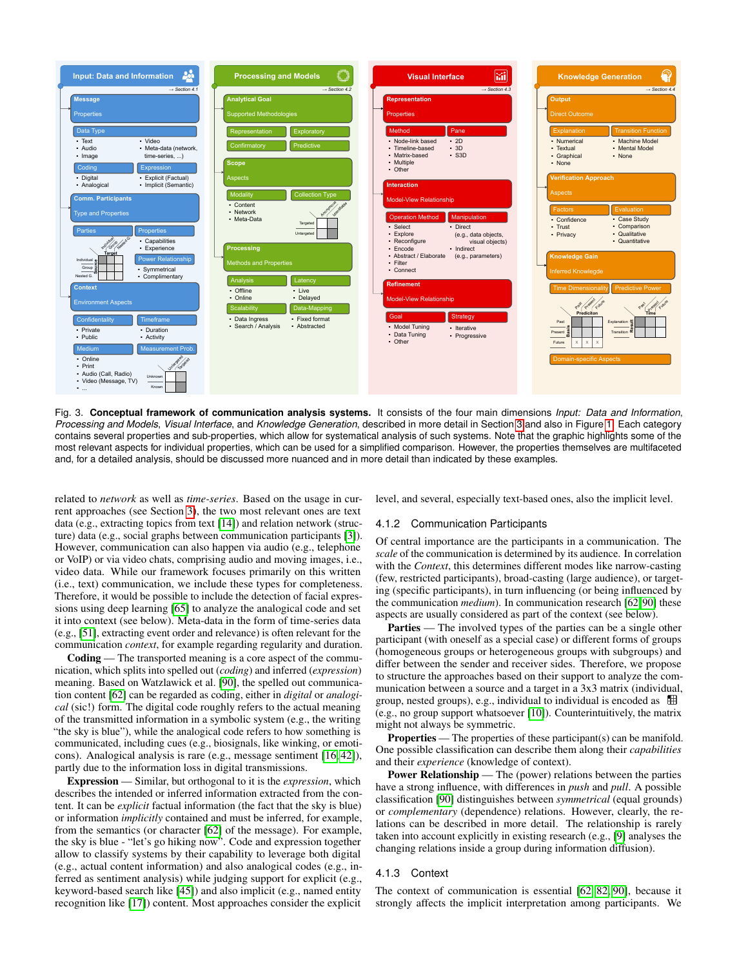<span id="page-3-0"></span>

Fig. 3. **Conceptual framework of communication analysis systems.** It consists of the four main dimensions *Input: Data and Information*, *Processing and Models*, *Visual Interface*, and *Knowledge Generation*, described in more detail in Section [3](#page-3-0) and also in Figure [1.](#page-0-0) Each category contains several properties and sub-properties, which allow for systematical analysis of such systems. Note that the graphic highlights some of the most relevant aspects for individual properties, which can be used for a simplified comparison. However, the properties themselves are multifaceted and, for a detailed analysis, should be discussed more nuanced and in more detail than indicated by these examples.

related to *network* as well as *time-series*. Based on the usage in current approaches (see Section [3\)](#page-1-1), the two most relevant ones are text data (e.g., extracting topics from text [\[14\]](#page-9-27)) and relation network (structure) data (e.g., social graphs between communication participants [\[3\]](#page-8-5)). However, communication can also happen via audio (e.g., telephone or VoIP) or via video chats, comprising audio and moving images, i.e., video data. While our framework focuses primarily on this written (i.e., text) communication, we include these types for completeness. Therefore, it would be possible to include the detection of facial expressions using deep learning [\[65\]](#page-10-29) to analyze the analogical code and set it into context (see below). Meta-data in the form of time-series data (e.g., [\[51\]](#page-9-17), extracting event order and relevance) is often relevant for the communication *context*, for example regarding regularity and duration.

Coding — The transported meaning is a core aspect of the communication, which splits into spelled out (*coding*) and inferred (*expression*) meaning. Based on Watzlawick et al. [\[90\]](#page-10-4), the spelled out communication content [\[62\]](#page-10-3) can be regarded as coding, either in *digital* or *analogical* (sic!) form. The digital code roughly refers to the actual meaning of the transmitted information in a symbolic system (e.g., the writing "the sky is blue"), while the analogical code refers to how something is communicated, including cues (e.g., biosignals, like winking, or emoticons). Analogical analysis is rare (e.g., message sentiment [\[16,](#page-9-28) [42\]](#page-9-29)), partly due to the information loss in digital transmissions.

Expression — Similar, but orthogonal to it is the *expression*, which describes the intended or inferred information extracted from the content. It can be *explicit* factual information (the fact that the sky is blue) or information *implicitly* contained and must be inferred, for example, from the semantics (or character [\[62\]](#page-10-3) of the message). For example, the sky is blue - "let's go hiking now". Code and expression together allow to classify systems by their capability to leverage both digital (e.g., actual content information) and also analogical codes (e.g., inferred as sentiment analysis) while judging support for explicit (e.g., keyword-based search like [\[45\]](#page-9-14)) and also implicit (e.g., named entity recognition like [\[17\]](#page-9-30)) content. Most approaches consider the explicit

level, and several, especially text-based ones, also the implicit level.

# 4.1.2 Communication Participants

Of central importance are the participants in a communication. The *scale* of the communication is determined by its audience. In correlation with the *Context*, this determines different modes like narrow-casting (few, restricted participants), broad-casting (large audience), or targeting (specific participants), in turn influencing (or being influenced by the communication *medium*). In communication research [\[62,](#page-10-3) [90\]](#page-10-4) these aspects are usually considered as part of the context (see below).

Parties — The involved types of the parties can be a single other participant (with oneself as a special case) or different forms of groups (homogeneous groups or heterogeneous groups with subgroups) and differ between the sender and receiver sides. Therefore, we propose to structure the approaches based on their support to analyze the communication between a source and a target in a 3x3 matrix (individual, group, nested groups), e.g., individual to individual is encoded as (e.g., no group support whatsoever [\[10\]](#page-8-8)). Counterintuitively, the matrix might not always be symmetric.

**Properties** — The properties of these participant(s) can be manifold. One possible classification can describe them along their *capabilities* and their *experience* (knowledge of context).

Power Relationship — The (power) relations between the parties have a strong influence, with differences in *push* and *pull*. A possible classification [\[90\]](#page-10-4) distinguishes between *symmetrical* (equal grounds) or *complementary* (dependence) relations. However, clearly, the relations can be described in more detail. The relationship is rarely taken into account explicitly in existing research (e.g., [\[9\]](#page-8-9) analyses the changing relations inside a group during information diffusion).

# 4.1.3 Context

The context of communication is essential [\[62,](#page-10-3) [82,](#page-10-16) [90\]](#page-10-4), because it strongly affects the implicit interpretation among participants. We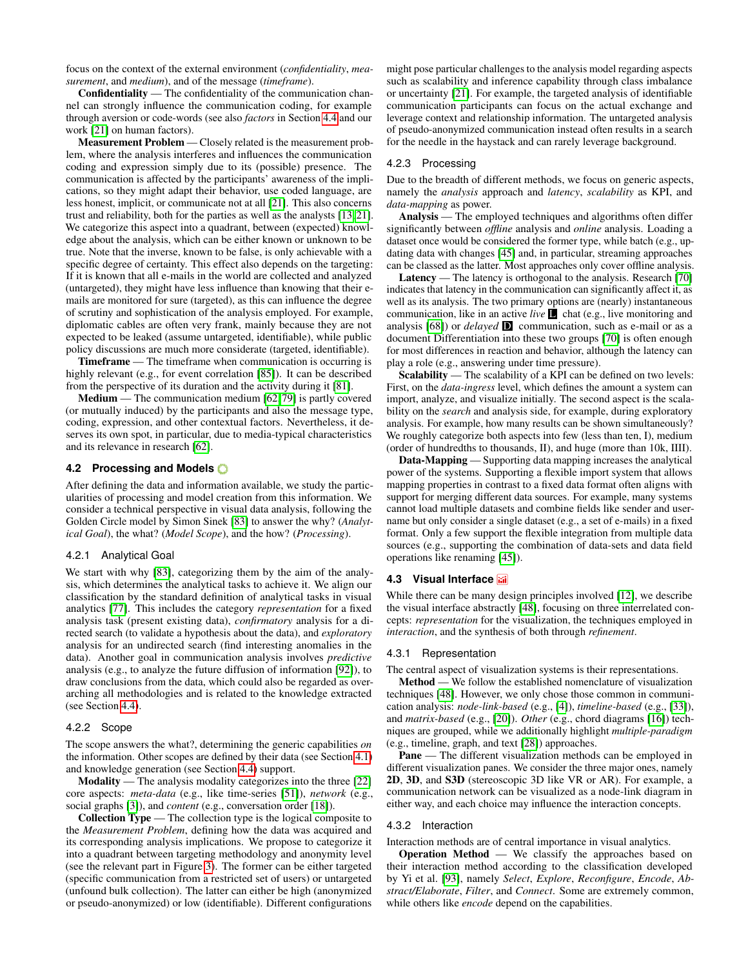focus on the context of the external environment (*confidentiality*, *measurement*, and *medium*), and of the message (*timeframe*).

Confidentiality — The confidentiality of the communication channel can strongly influence the communication coding, for example through aversion or code-words (see also *factors* in Section [4.4](#page-6-0) and our work [\[21\]](#page-9-5) on human factors).

Measurement Problem — Closely related is the measurement problem, where the analysis interferes and influences the communication coding and expression simply due to its (possible) presence. The communication is affected by the participants' awareness of the implications, so they might adapt their behavior, use coded language, are less honest, implicit, or communicate not at all [\[21\]](#page-9-5). This also concerns trust and reliability, both for the parties as well as the analysts [\[13,](#page-8-6) [21\]](#page-9-5). We categorize this aspect into a quadrant, between (expected) knowledge about the analysis, which can be either known or unknown to be true. Note that the inverse, known to be false, is only achievable with a specific degree of certainty. This effect also depends on the targeting: If it is known that all e-mails in the world are collected and analyzed (untargeted), they might have less influence than knowing that their emails are monitored for sure (targeted), as this can influence the degree of scrutiny and sophistication of the analysis employed. For example, diplomatic cables are often very frank, mainly because they are not expected to be leaked (assume untargeted, identifiable), while public policy discussions are much more considerate (targeted, identifiable).

Timeframe — The timeframe when communication is occurring is highly relevant (e.g., for event correlation [\[85\]](#page-10-30)). It can be described from the perspective of its duration and the activity during it [\[81\]](#page-10-31).

Medium — The communication medium [\[62,](#page-10-3) [79\]](#page-10-18) is partly covered (or mutually induced) by the participants and also the message type, coding, expression, and other contextual factors. Nevertheless, it deserves its own spot, in particular, due to media-typical characteristics and its relevance in research [\[62\]](#page-10-3).

### <span id="page-4-0"></span>**4.2 Processing and Models**

After defining the data and information available, we study the particularities of processing and model creation from this information. We consider a technical perspective in visual data analysis, following the Golden Circle model by Simon Sinek [\[83\]](#page-10-32) to answer the why? (*Analytical Goal*), the what? (*Model Scope*), and the how? (*Processing*).

#### 4.2.1 Analytical Goal

We start with why [\[83\]](#page-10-32), categorizing them by the aim of the analysis, which determines the analytical tasks to achieve it. We align our classification by the standard definition of analytical tasks in visual analytics [\[77\]](#page-10-33). This includes the category *representation* for a fixed analysis task (present existing data), *confirmatory* analysis for a directed search (to validate a hypothesis about the data), and *exploratory* analysis for an undirected search (find interesting anomalies in the data). Another goal in communication analysis involves *predictive* analysis (e.g., to analyze the future diffusion of information [\[92\]](#page-10-11)), to draw conclusions from the data, which could also be regarded as overarching all methodologies and is related to the knowledge extracted (see Section [4.4\)](#page-6-0).

#### 4.2.2 Scope

The scope answers the what?, determining the generic capabilities *on* the information. Other scopes are defined by their data (see Section [4.1\)](#page-2-3) and knowledge generation (see Section [4.4\)](#page-6-0) support.

Modality — The analysis modality categorizes into the three [\[22\]](#page-9-3) core aspects: *meta-data* (e.g., like time-series [\[51\]](#page-9-17)), *network* (e.g., social graphs [\[3\]](#page-8-5)), and *content* (e.g., conversation order [\[18\]](#page-9-31)).

Collection Type — The collection type is the logical composite to the *Measurement Problem*, defining how the data was acquired and its corresponding analysis implications. We propose to categorize it into a quadrant between targeting methodology and anonymity level (see the relevant part in Figure [3\)](#page-3-0). The former can be either targeted (specific communication from a restricted set of users) or untargeted (unfound bulk collection). The latter can either be high (anonymized or pseudo-anonymized) or low (identifiable). Different configurations

might pose particular challenges to the analysis model regarding aspects such as scalability and inference capability through class imbalance or uncertainty [\[21\]](#page-9-5). For example, the targeted analysis of identifiable communication participants can focus on the actual exchange and leverage context and relationship information. The untargeted analysis of pseudo-anonymized communication instead often results in a search for the needle in the haystack and can rarely leverage background.

# 4.2.3 Processing

Due to the breadth of different methods, we focus on generic aspects, namely the *analysis* approach and *latency*, *scalability* as KPI, and *data-mapping* as power.

Analysis — The employed techniques and algorithms often differ significantly between *offline* analysis and *online* analysis. Loading a dataset once would be considered the former type, while batch (e.g., updating data with changes [\[45\]](#page-9-14) and, in particular, streaming approaches can be classed as the latter. Most approaches only cover offline analysis.

Latency — The latency is orthogonal to the analysis. Research [\[70\]](#page-10-6) indicates that latency in the communication can significantly affect it, as well as its analysis. The two primary options are (nearly) instantaneous communication, like in an active *live* **L** chat (e.g., live monitoring and analysis [\[68\]](#page-10-13)) or *delayed* D communication, such as e-mail or as a document Differentiation into these two groups [\[70\]](#page-10-6) is often enough for most differences in reaction and behavior, although the latency can play a role (e.g., answering under time pressure).

Scalability — The scalability of a KPI can be defined on two levels: First, on the *data-ingress* level, which defines the amount a system can import, analyze, and visualize initially. The second aspect is the scalability on the *search* and analysis side, for example, during exploratory analysis. For example, how many results can be shown simultaneously? We roughly categorize both aspects into few (less than ten, I), medium (order of hundredths to thousands, II), and huge (more than 10k, IIII).

Data-Mapping — Supporting data mapping increases the analytical power of the systems. Supporting a flexible import system that allows mapping properties in contrast to a fixed data format often aligns with support for merging different data sources. For example, many systems cannot load multiple datasets and combine fields like sender and username but only consider a single dataset (e.g., a set of e-mails) in a fixed format. Only a few support the flexible integration from multiple data sources (e.g., supporting the combination of data-sets and data field operations like renaming [\[45\]](#page-9-14)).

# <span id="page-4-1"></span>**4.3 Visual Interface**

While there can be many design principles involved [\[12\]](#page-8-1), we describe the visual interface abstractly [\[48\]](#page-9-0), focusing on three interrelated concepts: *representation* for the visualization, the techniques employed in *interaction*, and the synthesis of both through *refinement*.

#### 4.3.1 Representation

The central aspect of visualization systems is their representations.

Method — We follow the established nomenclature of visualization techniques [\[48\]](#page-9-0). However, we only chose those common in communication analysis: *node-link-based* (e.g., [\[4\]](#page-8-4)), *timeline-based* (e.g., [\[33\]](#page-9-32)), and *matrix-based* (e.g., [\[20\]](#page-9-26)). *Other* (e.g., chord diagrams [\[16\]](#page-9-28)) techniques are grouped, while we additionally highlight *multiple-paradigm* (e.g., timeline, graph, and text [\[28\]](#page-9-33)) approaches.

Pane — The different visualization methods can be employed in different visualization panes. We consider the three major ones, namely 2D, 3D, and S3D (stereoscopic 3D like VR or AR). For example, a communication network can be visualized as a node-link diagram in either way, and each choice may influence the interaction concepts.

#### 4.3.2 Interaction

Interaction methods are of central importance in visual analytics.

Operation Method — We classify the approaches based on their interaction method according to the classification developed by Yi et al. [\[93\]](#page-10-15), namely *Select*, *Explore*, *Reconfigure*, *Encode*, *Abstract/Elaborate*, *Filter*, and *Connect*. Some are extremely common, while others like *encode* depend on the capabilities.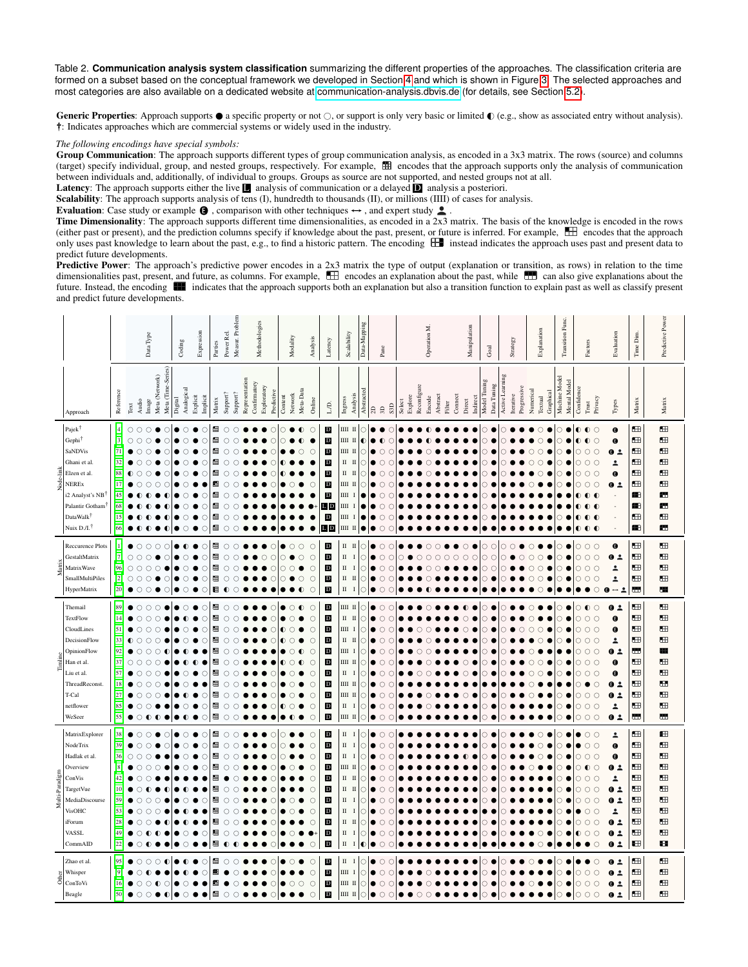<span id="page-5-0"></span>Table 2. **Communication analysis system classification** summarizing the different properties of the approaches. The classification criteria are formed on a subset based on the conceptual framework we developed in Section [4](#page-2-0) and which is shown in Figure [3.](#page-3-0) The selected approaches and most categories are also available on a dedicated website at [communication-analysis.dbvis.de](https://communication-analysis.dbvis.de) (for details, see Section [5.2\)](#page-7-0).

Generic Properties: Approach supports  $\bullet$  a specific property or not  $\circ$ , or support is only very basic or limited  $\bullet$  (e.g., show as associated entry without analysis). †: Indicates approaches which are commercial systems or widely used in the industry.

*The following encodings have special symbols:*

Group Communication: The approach supports different types of group communication analysis, as encoded in a 3x3 matrix. The rows (source) and columns (target) specify individual, group, and nested groups, respectively. For example, encodes that the approach supports only the analysis of communication between individuals and, additionally, of individual to groups. Groups as source are not supported, and nested groups not at all.

Latency: The approach supports either the live **L** analysis of communication or a delayed **D** analysis a posteriori.

Scalability: The approach supports analysis of tens (I), hundredth to thousands (II), or millions (IIII) of cases for analysis.

Evaluation: Case study or example  $\bigcirc$ , comparison with other techniques  $\leftrightarrow$ , and expert study  $\bullet$ .

Time Dimensionality: The approach supports different time dimensionalities, as encoded in a  $2x3$  matrix. The basis of the knowledge is encoded in the rows (either past or present), and the prediction columns specify if knowledge about the past, present, or future is inferred. For example,  $\Box$  encodes that the approach only uses past knowledge to learn about the past, e.g., to find a historic pattern. The encoding  $\Box$  instead indicates the approach uses past and present data to predict future developments.

Predictive Power: The approach's predictive power encodes in a 2x3 matrix the type of output (explanation or transition, as rows) in relation to the time dimensionalities past, present, and future, as columns. For example,  $\Box$  encodes an explanation about the past, while  $\Box$  can also give explanations about the future. Instead, the encoding **indicates that the approach supports both an explanation but also a transition function to explain past as well as classify present** and predict future developments.

|                    |                                                                                                                                                                                                                                                                                                                                                                                                                                                                                                                                                                                                                                           |                                                                                                       |                                                        | Data Type                                     | Coding                                                                            | Expression                                                                         | Parties                                                                                                               | Power Rel                                                                                                                                                                                              | Measur. Problem                                                                                                                          | Methodologies               |                        | Modality                                                                |                   | Analysis                                                                                                           | Latency                                                                                                                                                               | Scalability                                                                                                                                                                   | Data-Mapping                                                       | $_{\rm Pane}$              |                                            | Operation M.      |                       |                    | Manipulation      |          | Goal                                                                                    | Strategy                     |                          | Explanation          | Transition Func.              | Factors                                                                                                     | Evaluation                                                                                                                                                             | Time Dim.                                                        | Predictive Power                                                         |
|--------------------|-------------------------------------------------------------------------------------------------------------------------------------------------------------------------------------------------------------------------------------------------------------------------------------------------------------------------------------------------------------------------------------------------------------------------------------------------------------------------------------------------------------------------------------------------------------------------------------------------------------------------------------------|-------------------------------------------------------------------------------------------------------|--------------------------------------------------------|-----------------------------------------------|-----------------------------------------------------------------------------------|------------------------------------------------------------------------------------|-----------------------------------------------------------------------------------------------------------------------|--------------------------------------------------------------------------------------------------------------------------------------------------------------------------------------------------------|------------------------------------------------------------------------------------------------------------------------------------------|-----------------------------|------------------------|-------------------------------------------------------------------------|-------------------|--------------------------------------------------------------------------------------------------------------------|-----------------------------------------------------------------------------------------------------------------------------------------------------------------------|-------------------------------------------------------------------------------------------------------------------------------------------------------------------------------|--------------------------------------------------------------------|----------------------------|--------------------------------------------|-------------------|-----------------------|--------------------|-------------------|----------|-----------------------------------------------------------------------------------------|------------------------------|--------------------------|----------------------|-------------------------------|-------------------------------------------------------------------------------------------------------------|------------------------------------------------------------------------------------------------------------------------------------------------------------------------|------------------------------------------------------------------|--------------------------------------------------------------------------|
|                    | Approach                                                                                                                                                                                                                                                                                                                                                                                                                                                                                                                                                                                                                                  | Reference                                                                                             | Audio<br>Text                                          | Meta (Time-Series)<br>Meta (Network)<br>Image | Analogical<br>Digital                                                             | Explicit<br>Implicit                                                               | Matrix                                                                                                                | Support?                                                                                                                                                                                               | Representation<br>Support?                                                                                                               | Confirmatory<br>Exploratory | Predictive             | Network<br>Content                                                      | Meta-Data         | Online                                                                                                             | L/D.                                                                                                                                                                  | Analysis<br>Ingress                                                                                                                                                           | Abstracted                                                         | 2D<br>3D                   | S3D                                        | Explore<br>Select | Reconfigure<br>Encode | Abstract<br>Filter | Connect<br>Direct | Indirect | Model Tuning<br>Data Tuning                                                             | Active Learning<br>Iterative | Progressive<br>Numerical | Graphical<br>Textual | Machine Model<br>Mental Model | Confidence<br>Privacy<br>Trust                                                                              | Types                                                                                                                                                                  | Matrix                                                           | Matrix                                                                   |
| Node-link          | Pajek<br>Gephi <sup>†</sup><br>SaNDVis<br>Ghani et al<br>Elzen et al.<br><b>NEREx</b><br>i2 Analyst's NB<br>Palantir Gotham<br>DataWalk <sup>†</sup><br>Nuix D./I. <sup>1</sup>                                                                                                                                                                                                                                                                                                                                                                                                                                                           | $[4]$<br>$[3]$<br>$[71]$<br>$[32]$<br>[88]<br>$[17]$<br>$[45]$<br>[68]<br>$[15]$<br>$[66]$            | $\circ$<br>$\circ$<br>$\circ$                          | $\circ$<br>C<br>O<br>С<br>С                   | $\circ$<br>$\circ$<br>$\circ$<br>Ċ<br>O<br>O<br>O<br>$\circ$<br>O<br>$\circ$<br>● | $\bullet$<br>O<br>Ò<br>Ō<br>$\bullet$<br>О<br>O<br>e<br>О<br>C<br>O<br>●<br>O<br>O | ⊞<br>$\blacksquare$<br>$\boxplus$<br>Ħ<br>⊞<br>E.<br>H<br>$\boxplus$<br>囲<br>$\boxplus$                               | $\circlearrowright$<br>$\circlearrowright$<br>$\bigcirc$<br>$\circ$<br>$\circ$<br>$\circlearrowright$<br>$\circlearrowright$<br>$\bigcirc$<br>$\circ$<br>$\circlearrowright$                           | $\circ$<br>$\circ$<br>$\circ$<br>$\circ$<br>$\circ$<br>$\circ$<br>$\circ$<br>$\circ$<br>$\circ$<br>$\circ$                               |                             | O<br>n<br>C            | Ω<br>0                                                                  | $\bullet$<br>C    | $\circ$<br>О<br>O                                                                                                  | $\mathbf D$<br>$\mathbf D$<br>$\mathbf D$<br>$\mathbf{D}$<br>$\mathbf D$<br>$\mathbf D$<br>$\mathbf D$<br>L D<br>$\mathbf{D}$<br>L D                                  | Ш І<br>Ш<br>Ш І<br>$\rm II$<br>$_{\rm II}$<br>П<br>ШП<br>Ш<br>Ш<br>Ш<br>$\rm III\ II$                                                                                         | C<br>C<br>O<br>C                                                   | ∩                          | С<br>C<br>C<br>Ō                           |                   |                       |                    |                   |          | С<br>O<br>Ω<br>н<br>н                                                                   | ∩                            | n                        |                      | C                             | $\circ$<br>∩<br>$\circ$<br>∩                                                                                | Θ<br>$\mathbf \Theta$<br>0.2<br>$\overline{\phantom{a}}$<br>$\mathbf \Theta$<br>Q <sub>2</sub>                                                                         | ⊞<br>⊞<br>⊞<br>⊞<br>Œ<br>Œ<br>æ<br>Æ<br>⊞<br>圖                   | $\blacksquare$<br>$\blacksquare$<br>Œ<br>Œ<br>Œ<br>Œ<br>ш<br>ш<br>⊞<br>ш |
| Matrix             | Reccurence Plots<br>GestaltMatrix<br><b>MatrixWave</b><br>SmallMultiPiles<br>HyperMatrix                                                                                                                                                                                                                                                                                                                                                                                                                                                                                                                                                  | $[1]$<br>$[7]$<br>[96]<br>$[2]$<br>[20]                                                               | Ō<br>$\circ$<br>C<br>$\circ$<br>$\circ$<br>O<br>О<br>О | $\circ$<br>Ω<br>C<br>С<br>$\circ$<br>Ω        | ●<br>O<br>$\circ$<br>O<br>$\circ$<br>$\bullet$                                    | О<br>●<br>$\bullet$<br>O<br>O<br>O<br>$\bullet$<br>О                               | ⊞<br>$\blacksquare$<br>$\blacksquare$<br>$\boxplus$<br>囲                                                              | $\bigcirc$<br>$\circlearrowright$<br>$\bigcirc$<br>$\circlearrowright$<br>$\bullet$                                                                                                                    | $\circ$<br>$\circ$<br>$\circ$<br>$\circ$<br>$\circ$                                                                                      | C                           | Ċ<br>$\circ$<br>С<br>C | O<br>O<br>$\circ$<br>Ω<br>$\circ$                                       | $\circ$<br>O<br>C | $\circ$<br>$\circ$<br>$\circ$<br>$\bigcirc$<br>$\circ$                                                             | $\mathbf D$<br>$\mathbf D$<br>$\mathbf D$<br>$\mathbf D$<br>$\mathbf{D}$                                                                                              | $\,$ II $\,$ II<br>$_{\rm II}$<br>П<br>$_{\rm II}$<br>$\mathbf{I}$<br>П<br>$\mathbf{I}$                                                                                       | ∩<br>C<br>O<br>$\circ$<br>$\circ$                                  | ∩<br>Ō<br>O                | C<br>Ō<br>О<br>С<br>$\circ$                | ∩                 | C<br>C                | C<br>C             | O<br>O<br>O       | $\circ$  | $\bigcirc$<br>$\circ$<br>$\bigcirc$<br>$\circ$<br>O<br>C<br>Ω                           | $\circ$<br>$\cap$<br>C<br>С  | C<br>$\bigcirc$<br>o     | C                    |                               | $\circ$<br>$\circ$<br>$\circ$<br>$\circ$<br>Ω<br>$\circ$<br>О                                               | $\bullet$<br>0.2<br>$\overline{\phantom{a}}$<br>$\overline{\phantom{a}}$<br>$\bullet$<br>– 2                                                                           | ⊞<br>⊞<br>Œ<br>œ<br>ш                                            | Œ<br>Œ<br>⊞<br>Œ<br>æ                                                    |
| Timline            | Themail<br>TextFlow<br>CloudLines<br>DecisionFlow<br>OpinionFlow<br>Han et al.<br>Liu et al.<br>ThreadReconst.<br>T-Cal<br>netflower<br>WeSeer                                                                                                                                                                                                                                                                                                                                                                                                                                                                                            | [89]<br>$[14]$<br>$[51]$<br>[33]<br>[92]<br>[37]<br>$[57]$<br>$[18]$<br>$[27]$<br>$[85]$<br>[55]      | O<br>C<br>∩<br>C<br>C<br>O                             | O<br>∩<br>С<br>O<br>С<br>C<br>$\bullet$       | $\circ$<br>$\circ$<br>ο<br>O<br>Ċ<br>O<br>$\circ$<br>●<br>$\bullet$               | O<br>О<br>O<br>◐<br>C<br>С<br>O<br>O                                               | ⊞<br>$\blacksquare$<br>$\blacksquare$<br>$\blacksquare$<br>⊞<br>Ħ<br>田<br>Ħ<br>$\boxplus$<br>$\boxplus$<br>$\boxplus$ | $\circlearrowright$<br>$\bigcirc$<br>$\bigcirc$<br>$\circlearrowright$<br>$\circlearrowright$<br>$\circ$<br>$\circ$<br>$\circlearrowright$<br>$\bigcirc$<br>$\circlearrowright$<br>$\circlearrowright$ | $\circ$<br>$\circ$<br>$\circ$<br>$\circlearrowright$<br>$\circ$<br>$\circ$<br>$\circ$<br>$\circ$<br>$\circ$<br>c<br>$\circ$<br>$\circ$   |                             | C<br>O<br>C<br>O       | O<br>$\circ$<br>$\bullet$<br>O<br>∩<br>0<br>$\bullet$<br>О<br>$\bullet$ | $\bullet$         | $\circ$<br>$\circ$<br>$\bigcirc$<br>$\circ$<br>$\circ$<br>O<br>$\circ$<br>$\circ$<br>$\circ$<br>$\circ$<br>$\circ$ | $\mathbf{D}$<br>$\mathbf{D}$<br>$\mathbf D$<br>$\mathbf D$<br>$\mathbf D$<br>$\mathbf D$<br>$\mathbf D$<br>$\mathbf{D}$<br>$\mathbf D$<br>$\mathbf D$<br>$\mathbf{D}$ | $\rm III\,$ II<br>$\mathbf{I}$<br>$\mathbf{I}$<br>Ш<br>$\mathbf I$<br>$\rm _{II}$<br>П<br>Ш<br>$\mathbf{I}$<br>ШІ П<br>$\rm II$<br>ШІ П<br>ШІ П<br>П<br>- 1<br>$\rm III~II$   | Ω<br>C<br>$\circ$<br>C<br>C<br>C<br>С<br>C<br>C<br>C<br>$\circ$    | ∩<br>∩<br>0<br>O<br>Ω      | С<br>Ō<br>C<br>Ō<br>C<br>O<br>O<br>$\circ$ |                   | C                     |                    | O<br>∩<br>C<br>C  |          | Ω<br>C<br>$\circ$<br>C<br>O<br>$\left(\right)$<br>О<br>$\circ$<br>$\circ$<br>$\bigcirc$ | n<br>Ω<br>п<br>2<br>C        | O<br>C<br>$\circ$<br>0   | Ω                    | O<br>C<br>O                   | $\bigcirc$<br>$\circ$<br>$\circ$<br>O<br>$\circ$<br>$\circ$<br>∩<br>$\circ$<br>$\circ$<br>$\circ$<br>∩<br>Ω | 0.2<br>Θ<br>$\mathbf \Theta$<br>$\overline{\phantom{a}}$<br>0.2<br>$\bullet$<br>$\bullet$<br>0.2<br>0.2<br>$\overline{\phantom{a}}$<br>0.2                             | ⊞<br>⊞<br>⊞<br>Œ<br>ш<br>Œ<br>œ<br>Œ<br>⊞<br>⊞<br>œ              | $\blacksquare$<br>Œ<br>Œ<br>Œ<br>æ<br>Œ<br>Œ<br>Œ<br>Œ<br>Œ<br>ш         |
| Paradign<br>Multi- | MatrixExplorer<br>NodeTrix<br>Hadlak et al.<br>Overview<br>ConVis<br><b>TargetVue</b><br>MediaDiscourse<br><b>VisOHC</b><br>iForum<br>VASSL<br>CommAID                                                                                                                                                                                                                                                                                                                                                                                                                                                                                    | $[38]$<br>[39]<br>$[36]$<br>[8]<br>$[42]$<br>$[10]$<br>$[59]$<br>$[53]$<br>$[28]$<br>$[49]$<br>$[22]$ | ∩<br>C<br>∩<br>Ō<br>O                                  | C<br>c<br>C<br>∩                              | $\circ$<br>$\circ$<br>$\circ$<br>O<br>C<br>O<br>$\circ$                           | O<br>$\bullet$<br>O<br>O<br>e<br>O<br>O<br>О                                       | $\boxplus$<br>$\blacksquare$<br>$\boxplus$<br>$\boxplus$<br>囲<br>⊞<br>⊞<br>⊞<br>⊞<br>⊞<br>H                           | $\circlearrowright$<br>$\circlearrowright$<br>$\circlearrowright$<br>$\circlearrowright$<br>$\bullet$<br>$\circ$<br>$\circlearrowright$<br>$\bigcirc$<br>$\circ$<br>$\circ$<br>$\bullet$               | $\circ$<br>$\circ$<br>$\circ$<br>$\circ$<br>$\circ$<br>$\circ$<br>$\circ$<br>$\circ$<br>$\circ$<br>$\circlearrowright$<br>0<br>$\bullet$ |                             | ∩<br>C<br>O<br>С<br>O  | ∩<br>C<br>O<br>O                                                        |                   | $\circ$<br>$\circ$<br>O<br>$\circ$<br>$\circ$<br>0<br>$\circ$<br>0<br>$\circ$<br>$\circ$                           | $\mathbf D$<br>$\mathbf D$<br>$\mathbf{D}$<br>$\mathbf{D}$<br>$\mathbf{D}$<br>$\mathbf D$<br>$\mathbf D$<br>$\mathbf D$<br>$\mathbf{D}$<br>$\mathbf D$<br>$\mathbf D$ | $\rm _{II}$<br>П<br>$\rm _{II}$<br>Ш<br>П<br>$_{\rm II}$<br>Ш<br>П<br>$\mathbf{I}$<br>$\rm II$<br>- 1<br>$\rm II$<br>I<br>$\rm II$<br>Ш<br>П<br><b>I</b><br>П<br>$\mathbf{I}$ | ∩<br>$\circ$<br>C<br>C<br>С<br>O<br>Ω<br>C<br>$\circ$<br>$\bullet$ | ∩<br>∩<br>∩<br>∩<br>O<br>Ω | C<br>Ō<br>С<br>С<br>Ō<br>С<br>О<br>Ō       |                   |                       |                    |                   |          | ∩<br>O<br>∩<br>C<br>C<br>С.<br>C<br>O<br>O                                              |                              |                          |                      | C                             | $\circ$<br>∩<br>$\bigcirc$<br>$\circ$<br>$\circ$<br>$\circ$<br>$\circ$<br>$\circ$<br>C<br>O                 | $\overline{\phantom{a}}$<br>$\mathbf \Theta$<br>$\bullet$<br>0.2<br>$\overline{\phantom{a}}$<br>0.2<br>0.2<br>$\overline{\phantom{a}}$<br>Q <sub>2</sub><br>0.2<br>0.2 | 田<br>⊞<br>Œ<br>œ<br>Œ<br>Œ<br>Œ<br>œ<br>Œ<br>⊞<br>$\blacksquare$ | 田<br>Œ<br>田<br>Œ<br>$\blacksquare$<br>Œ<br>Œ<br>⊞<br>œ<br>⊞<br>н         |
|                    | Zhao et al.<br>Whisper<br>$\overset{\mathbf{L}}{\mathop{\oplus }\limits_{\mathop{\mathop{\bigcirc}\limits^{\mathop{\mathop{\bigcirc}{\mathop{\bigcirc}}}}}}\nolimits} \overset{\text{Whisper}}{\mathop{\longrightarrow }\limits_{\mathop{\mathop{\mathop{\bigcirc}{\mathop{\bigcirc}{\mathop{\bigcirc}{\mathop{\bigcirc}{\mathop{\bigcirc}{\mathop{\bigcirc}{\mathop{\bigcirc}{\mathop{\bigcirc}{\mathop{\bigcirc}{\mathop{\bigcirc}{\mathop{\bigcirc}{\mathop{\bigcirc}{\mathop{\bigcirc}{\mathop{\bigcirc}{\mathop{\bigcirc}{\mathop{\bigcirc}{\mathop{\bigcirc}{\mathop{\bigcirc}{\mathop{\bigcirc}{\mathop{\bigcirc}{\math$<br>Beagle | [95]<br>$[9]$<br>$[16]$<br>$[50]$                                                                     | O<br>C<br>Ċ                                            | Ω<br>Ω<br>С<br>C                              | C<br>$\circ$                                                                      | O                                                                                  | 囲<br>H.<br>豳<br>⊞                                                                                                     | $\circlearrowright$<br>$\circ$                                                                                                                                                                         | $\circ$<br>O<br>O<br>$\circ$                                                                                                             |                             | C<br>C                 | Ω<br>∩                                                                  | C                 | $\circ$<br>О<br>Ō                                                                                                  | $\mathbf D$<br>$\mathbf{D}$<br>$\mathbf D$<br>$\mathbf{D}$                                                                                                            | П<br>Ш<br>$\mathbf{I}$<br>ШІ П<br>ШІ П                                                                                                                                        | C<br>C<br>C<br>$\circ$                                             | C                          | С<br>С                                     |                   |                       |                    |                   |          | $\bigcirc$<br>∩                                                                         | c                            | C                        |                      |                               | O<br>O                                                                                                      | 0.2<br>0.2<br>0.2<br>$\mathbf 0$<br>$\overline{\phantom{a}}$                                                                                                           | œ<br>⊞<br>⊞<br>⊞                                                 | Œ<br>$\blacksquare$<br>⊞<br>œ                                            |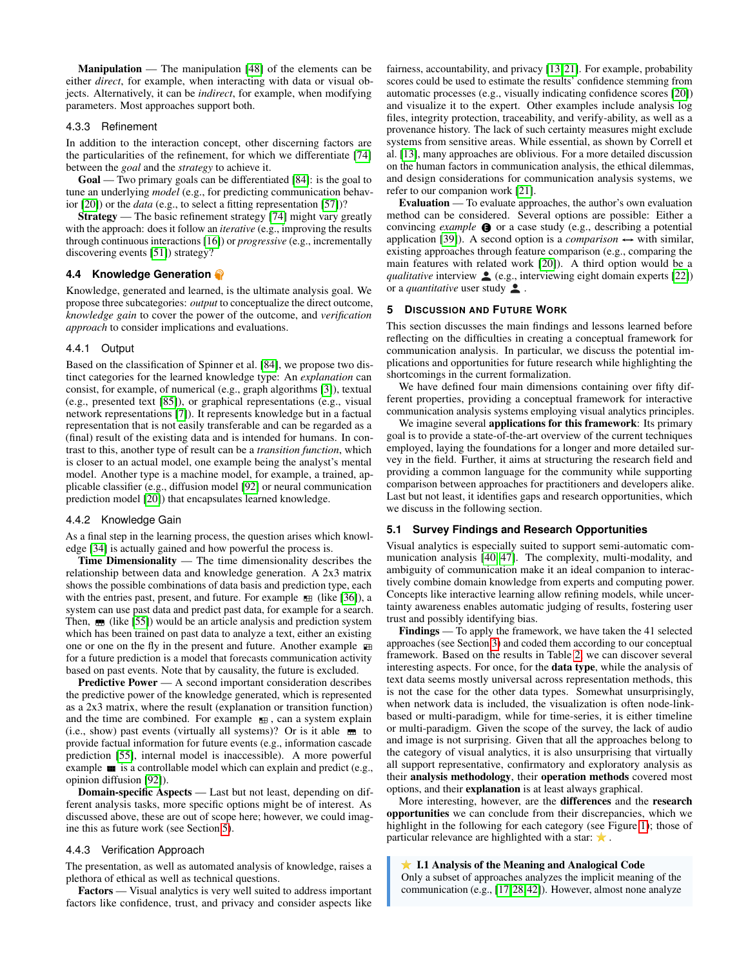Manipulation — The manipulation [\[48\]](#page-9-0) of the elements can be either *direct*, for example, when interacting with data or visual objects. Alternatively, it can be *indirect*, for example, when modifying parameters. Most approaches support both.

#### 4.3.3 Refinement

In addition to the interaction concept, other discerning factors are the particularities of the refinement, for which we differentiate [\[74\]](#page-10-27) between the *goal* and the *strategy* to achieve it.

Goal — Two primary goals can be differentiated [\[84\]](#page-10-40): is the goal to tune an underlying *model* (e.g., for predicting communication behavior [\[20\]](#page-9-26)) or the *data* (e.g., to select a fitting representation [\[57\]](#page-10-36))?

Strategy — The basic refinement strategy [\[74\]](#page-10-27) might vary greatly with the approach: does it follow an *iterative* (e.g., improving the results through continuous interactions [\[16\]](#page-9-28)) or *progressive* (e.g., incrementally discovering events [\[51\]](#page-9-17)) strategy?

# <span id="page-6-0"></span>**4.4 Knowledge Generation**

Knowledge, generated and learned, is the ultimate analysis goal. We propose three subcategories: *output* to conceptualize the direct outcome, *knowledge gain* to cover the power of the outcome, and *verification approach* to consider implications and evaluations.

# 4.4.1 Output

Based on the classification of Spinner et al. [\[84\]](#page-10-40), we propose two distinct categories for the learned knowledge type: An *explanation* can consist, for example, of numerical (e.g., graph algorithms [\[3\]](#page-8-5)), textual (e.g., presented text [\[85\]](#page-10-30)), or graphical representations (e.g., visual network representations [\[7\]](#page-8-11)). It represents knowledge but in a factual representation that is not easily transferable and can be regarded as a (final) result of the existing data and is intended for humans. In contrast to this, another type of result can be a *transition function*, which is closer to an actual model, one example being the analyst's mental model. Another type is a machine model, for example, a trained, applicable classifier (e.g., diffusion model [\[92\]](#page-10-11) or neural communication prediction model [\[20\]](#page-9-26)) that encapsulates learned knowledge.

#### 4.4.2 Knowledge Gain

As a final step in the learning process, the question arises which knowledge [\[34\]](#page-9-39) is actually gained and how powerful the process is.

Time Dimensionality — The time dimensionality describes the relationship between data and knowledge generation. A 2x3 matrix shows the possible combinations of data basis and prediction type, each with the entries past, present, and future. For example  $\equiv$  (like [\[36\]](#page-9-36)), a system can use past data and predict past data, for example for a search. Then,  $\blacksquare$  (like [\[55\]](#page-10-37)) would be an article analysis and prediction system which has been trained on past data to analyze a text, either an existing one or one on the fly in the present and future. Another example for a future prediction is a model that forecasts communication activity based on past events. Note that by causality, the future is excluded.

Predictive Power — A second important consideration describes the predictive power of the knowledge generated, which is represented as a 2x3 matrix, where the result (explanation or transition function) and the time are combined. For example  $\blacksquare$ , can a system explain (i.e., show) past events (virtually all systems)? Or is it able  $\blacksquare$  to provide factual information for future events (e.g., information cascade prediction [\[55\]](#page-10-37), internal model is inaccessible). A more powerful example  $\blacksquare$  is a controllable model which can explain and predict (e.g., opinion diffusion [\[92\]](#page-10-11)).

Domain-specific Aspects — Last but not least, depending on different analysis tasks, more specific options might be of interest. As discussed above, these are out of scope here; however, we could imagine this as future work (see Section [5\)](#page-6-1).

# 4.4.3 Verification Approach

The presentation, as well as automated analysis of knowledge, raises a plethora of ethical as well as technical questions.

Factors — Visual analytics is very well suited to address important factors like confidence, trust, and privacy and consider aspects like fairness, accountability, and privacy [\[13,](#page-8-6) [21\]](#page-9-5). For example, probability scores could be used to estimate the results' confidence stemming from automatic processes (e.g., visually indicating confidence scores [\[20\]](#page-9-26)) and visualize it to the expert. Other examples include analysis log files, integrity protection, traceability, and verify-ability, as well as a provenance history. The lack of such certainty measures might exclude systems from sensitive areas. While essential, as shown by Correll et al. [\[13\]](#page-8-6), many approaches are oblivious. For a more detailed discussion on the human factors in communication analysis, the ethical dilemmas, and design considerations for communication analysis systems, we refer to our companion work [\[21\]](#page-9-5).

Evaluation — To evaluate approaches, the author's own evaluation method can be considered. Several options are possible: Either a convincing *example*  $\bullet$  or a case study (e.g., describing a potential application [\[39\]](#page-9-16)). A second option is a *comparison*  $\leftrightarrow$  with similar, existing approaches through feature comparison (e.g., comparing the main features with related work [\[20\]](#page-9-26)). A third option would be a *qualitative* interview  $\triangle$  (e.g., interviewing eight domain experts [\[22\]](#page-9-3)) or a *quantitative* user study **.**.

## <span id="page-6-1"></span>**5 DISCUSSION AND FUTURE WORK**

This section discusses the main findings and lessons learned before reflecting on the difficulties in creating a conceptual framework for communication analysis. In particular, we discuss the potential implications and opportunities for future research while highlighting the shortcomings in the current formalization.

We have defined four main dimensions containing over fifty different properties, providing a conceptual framework for interactive communication analysis systems employing visual analytics principles.

We imagine several **applications for this framework**: Its primary goal is to provide a state-of-the-art overview of the current techniques employed, laying the foundations for a longer and more detailed survey in the field. Further, it aims at structuring the research field and providing a common language for the community while supporting comparison between approaches for practitioners and developers alike. Last but not least, it identifies gaps and research opportunities, which we discuss in the following section.

# **5.1 Survey Findings and Research Opportunities**

Visual analytics is especially suited to support semi-automatic communication analysis [\[40,](#page-9-11) [47\]](#page-9-12). The complexity, multi-modality, and ambiguity of communication make it an ideal companion to interactively combine domain knowledge from experts and computing power. Concepts like interactive learning allow refining models, while uncertainty awareness enables automatic judging of results, fostering user trust and possibly identifying bias.

Findings — To apply the framework, we have taken the 41 selected approaches (see Section [3\)](#page-1-1) and coded them according to our conceptual framework. Based on the results in Table [2,](#page-5-0) we can discover several interesting aspects. For once, for the data type, while the analysis of text data seems mostly universal across representation methods, this is not the case for the other data types. Somewhat unsurprisingly, when network data is included, the visualization is often node-linkbased or multi-paradigm, while for time-series, it is either timeline or multi-paradigm. Given the scope of the survey, the lack of audio and image is not surprising. Given that all the approaches belong to the category of visual analytics, it is also unsurprising that virtually all support representative, confirmatory and exploratory analysis as their analysis methodology, their operation methods covered most options, and their explanation is at least always graphical.

More interesting, however, are the differences and the research opportunities we can conclude from their discrepancies, which we highlight in the following for each category (see Figure [1\)](#page-0-0); those of particular relevance are highlighted with a star:  $\star$ .

# **★ I.1 Analysis of the Meaning and Analogical Code**

Only a subset of approaches analyzes the implicit meaning of the communication (e.g., [\[17,](#page-9-30)[28,](#page-9-33)[42\]](#page-9-29)). However, almost none analyze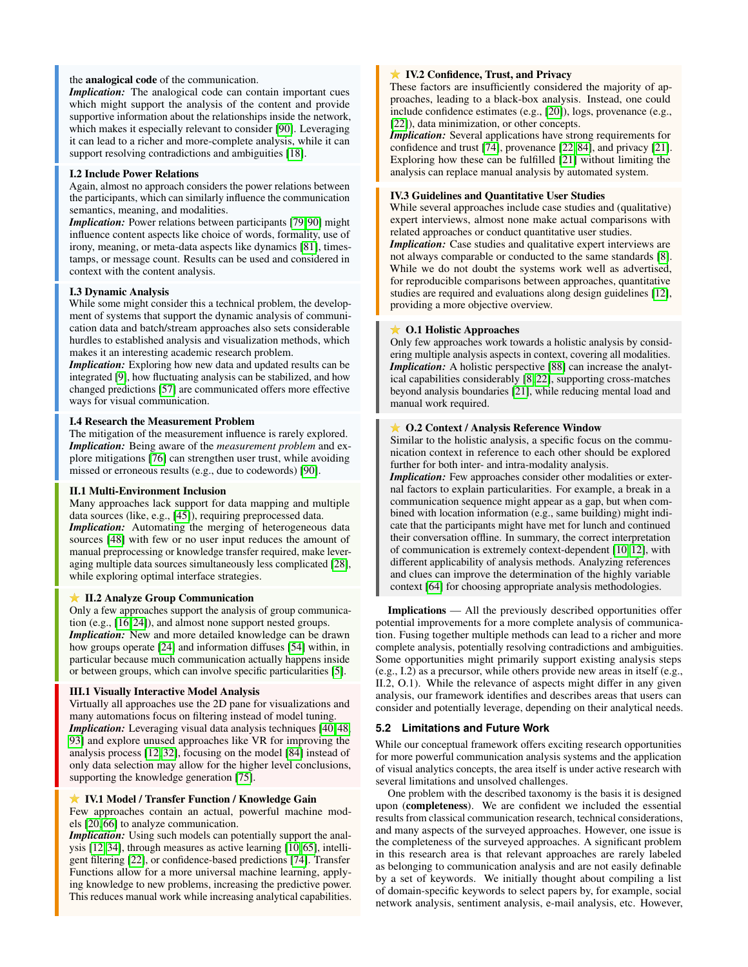# the analogical code of the communication.

*Implication:* The analogical code can contain important cues which might support the analysis of the content and provide supportive information about the relationships inside the network, which makes it especially relevant to consider [\[90\]](#page-10-4). Leveraging it can lead to a richer and more-complete analysis, while it can support resolving contradictions and ambiguities [\[18\]](#page-9-31).

#### I.2 Include Power Relations

Again, almost no approach considers the power relations between the participants, which can similarly influence the communication semantics, meaning, and modalities.

*Implication:* Power relations between participants [\[79,](#page-10-18)90] might influence content aspects like choice of words, formality, use of irony, meaning, or meta-data aspects like dynamics [\[81\]](#page-10-31), timestamps, or message count. Results can be used and considered in context with the content analysis.

#### I.3 Dynamic Analysis

While some might consider this a technical problem, the development of systems that support the dynamic analysis of communication data and batch/stream approaches also sets considerable hurdles to established analysis and visualization methods, which makes it an interesting academic research problem.

*Implication:* Exploring how new data and updated results can be integrated [\[9\]](#page-8-9), how fluctuating analysis can be stabilized, and how changed predictions [\[57\]](#page-10-36) are communicated offers more effective ways for visual communication.

# I.4 Research the Measurement Problem

The mitigation of the measurement influence is rarely explored. *Implication:* Being aware of the *measurement problem* and explore mitigations [\[76\]](#page-10-41) can strengthen user trust, while avoiding missed or erroneous results (e.g., due to codewords) [\[90\]](#page-10-4).

# II.1 Multi-Environment Inclusion

Many approaches lack support for data mapping and multiple data sources (like, e.g., [\[45\]](#page-9-14)), requiring preprocessed data. *Implication:* Automating the merging of heterogeneous data sources [\[48\]](#page-9-0) with few or no user input reduces the amount of manual preprocessing or knowledge transfer required, make leveraging multiple data sources simultaneously less complicated [\[28\]](#page-9-33), while exploring optimal interface strategies.

## **★ II.2 Analyze Group Communication**

Only a few approaches support the analysis of group communication (e.g., [\[16,](#page-9-28) [24\]](#page-9-2)), and almost none support nested groups. *Implication:* New and more detailed knowledge can be drawn how groups operate [\[24\]](#page-9-2) and information diffuses [\[54\]](#page-10-42) within, in particular because much communication actually happens inside or between groups, which can involve specific particularities [\[5\]](#page-8-2).

#### III.1 Visually Interactive Model Analysis

Virtually all approaches use the 2D pane for visualizations and many automations focus on filtering instead of model tuning. *Implication:* Leveraging visual data analysis techniques [\[40,](#page-9-11) [48,](#page-9-0) [93\]](#page-10-15) and explore unused approaches like VR for improving the analysis process [\[12,](#page-8-1) [32\]](#page-9-10), focusing on the model [\[84\]](#page-10-40) instead of only data selection may allow for the higher level conclusions, supporting the knowledge generation [\[75\]](#page-10-14).

# IV.1 Model / Transfer Function / Knowledge Gain

Few approaches contain an actual, powerful machine models [\[20,](#page-9-26) [66\]](#page-10-12) to analyze communication.

*Implication:* Using such models can potentially support the analysis [\[12,](#page-8-1) [34\]](#page-9-39), through measures as active learning [\[10,](#page-8-8) [65\]](#page-10-29), intelligent filtering [\[22\]](#page-9-3), or confidence-based predictions [\[74\]](#page-10-27). Transfer Functions allow for a more universal machine learning, applying knowledge to new problems, increasing the predictive power. This reduces manual work while increasing analytical capabilities.

# **IV.2 Confidence, Trust, and Privacy**

These factors are insufficiently considered the majority of approaches, leading to a black-box analysis. Instead, one could include confidence estimates (e.g., [\[20\]](#page-9-26)), logs, provenance (e.g., [\[22\]](#page-9-3)), data minimization, or other concepts.

*Implication:* Several applications have strong requirements for confidence and trust [\[74\]](#page-10-27), provenance [\[22,](#page-9-3) [84\]](#page-10-40), and privacy [\[21\]](#page-9-5). Exploring how these can be fulfilled [\[21\]](#page-9-5) without limiting the analysis can replace manual analysis by automated system.

## IV.3 Guidelines and Quantitative User Studies

While several approaches include case studies and (qualitative) expert interviews, almost none make actual comparisons with related approaches or conduct quantitative user studies.

*Implication:* Case studies and qualitative expert interviews are not always comparable or conducted to the same standards [\[8\]](#page-8-0). While we do not doubt the systems work well as advertised, for reproducible comparisons between approaches, quantitative studies are required and evaluations along design guidelines [\[12\]](#page-8-1), providing a more objective overview.

# **★ O.1 Holistic Approaches**

Only few approaches work towards a holistic analysis by considering multiple analysis aspects in context, covering all modalities. *Implication:* A holistic perspective [\[88\]](#page-10-2) can increase the analytical capabilities considerably [\[8,](#page-8-0) [22\]](#page-9-3), supporting cross-matches beyond analysis boundaries [\[21\]](#page-9-5), while reducing mental load and manual work required.

# **★ O.2 Context / Analysis Reference Window**

Similar to the holistic analysis, a specific focus on the communication context in reference to each other should be explored further for both inter- and intra-modality analysis.

*Implication:* Few approaches consider other modalities or external factors to explain particularities. For example, a break in a communication sequence might appear as a gap, but when combined with location information (e.g., same building) might indicate that the participants might have met for lunch and continued their conversation offline. In summary, the correct interpretation of communication is extremely context-dependent [\[10,](#page-8-8) [12\]](#page-8-1), with different applicability of analysis methods. Analyzing references and clues can improve the determination of the highly variable context [\[64\]](#page-10-7) for choosing appropriate analysis methodologies.

Implications — All the previously described opportunities offer potential improvements for a more complete analysis of communication. Fusing together multiple methods can lead to a richer and more complete analysis, potentially resolving contradictions and ambiguities. Some opportunities might primarily support existing analysis steps (e.g., I.2) as a precursor, while others provide new areas in itself (e.g., II.2, O.1). While the relevance of aspects might differ in any given analysis, our framework identifies and describes areas that users can consider and potentially leverage, depending on their analytical needs.

# <span id="page-7-0"></span>**5.2 Limitations and Future Work**

While our conceptual framework offers exciting research opportunities for more powerful communication analysis systems and the application of visual analytics concepts, the area itself is under active research with several limitations and unsolved challenges.

One problem with the described taxonomy is the basis it is designed upon (completeness). We are confident we included the essential results from classical communication research, technical considerations, and many aspects of the surveyed approaches. However, one issue is the completeness of the surveyed approaches. A significant problem in this research area is that relevant approaches are rarely labeled as belonging to communication analysis and are not easily definable by a set of keywords. We initially thought about compiling a list of domain-specific keywords to select papers by, for example, social network analysis, sentiment analysis, e-mail analysis, etc. However,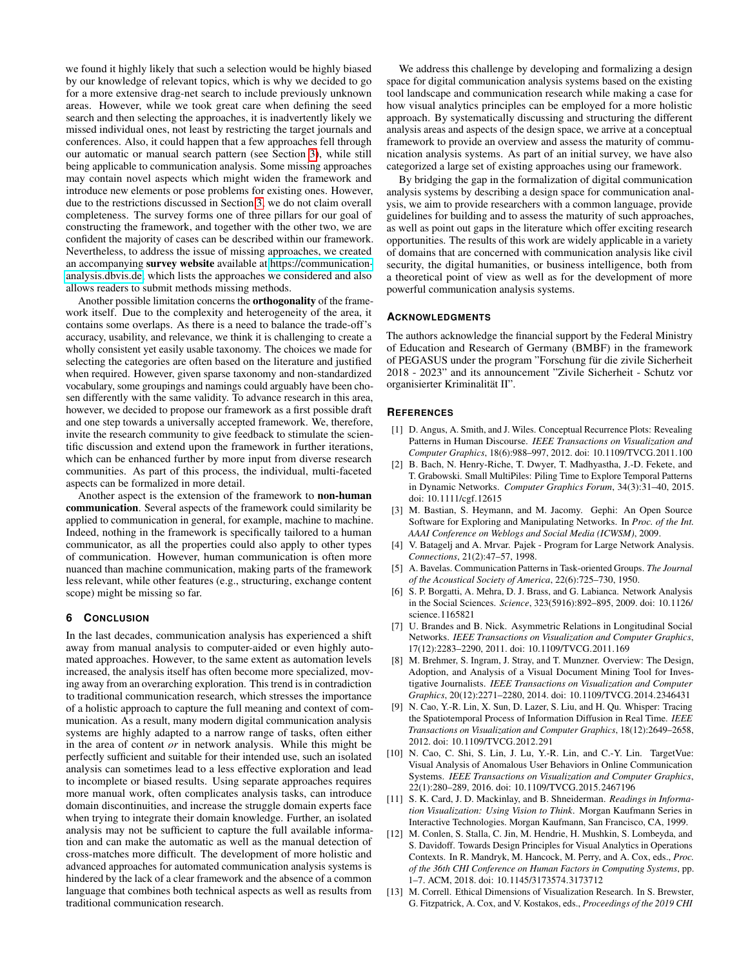we found it highly likely that such a selection would be highly biased by our knowledge of relevant topics, which is why we decided to go for a more extensive drag-net search to include previously unknown areas. However, while we took great care when defining the seed search and then selecting the approaches, it is inadvertently likely we missed individual ones, not least by restricting the target journals and conferences. Also, it could happen that a few approaches fell through our automatic or manual search pattern (see Section [3\)](#page-1-1), while still being applicable to communication analysis. Some missing approaches may contain novel aspects which might widen the framework and introduce new elements or pose problems for existing ones. However, due to the restrictions discussed in Section [3,](#page-1-1) we do not claim overall completeness. The survey forms one of three pillars for our goal of constructing the framework, and together with the other two, we are confident the majority of cases can be described within our framework. Nevertheless, to address the issue of missing approaches, we created an accompanying survey website available at [https://communication](https://communication-analysis.dbvis.de)[analysis.dbvis.de,](https://communication-analysis.dbvis.de) which lists the approaches we considered and also allows readers to submit methods missing methods.

Another possible limitation concerns the orthogonality of the framework itself. Due to the complexity and heterogeneity of the area, it contains some overlaps. As there is a need to balance the trade-off's accuracy, usability, and relevance, we think it is challenging to create a wholly consistent yet easily usable taxonomy. The choices we made for selecting the categories are often based on the literature and justified when required. However, given sparse taxonomy and non-standardized vocabulary, some groupings and namings could arguably have been chosen differently with the same validity. To advance research in this area, however, we decided to propose our framework as a first possible draft and one step towards a universally accepted framework. We, therefore, invite the research community to give feedback to stimulate the scientific discussion and extend upon the framework in further iterations, which can be enhanced further by more input from diverse research communities. As part of this process, the individual, multi-faceted aspects can be formalized in more detail.

Another aspect is the extension of the framework to non-human communication. Several aspects of the framework could similarity be applied to communication in general, for example, machine to machine. Indeed, nothing in the framework is specifically tailored to a human communicator, as all the properties could also apply to other types of communication. However, human communication is often more nuanced than machine communication, making parts of the framework less relevant, while other features (e.g., structuring, exchange content scope) might be missing so far.

#### **6 CONCLUSION**

In the last decades, communication analysis has experienced a shift away from manual analysis to computer-aided or even highly automated approaches. However, to the same extent as automation levels increased, the analysis itself has often become more specialized, moving away from an overarching exploration. This trend is in contradiction to traditional communication research, which stresses the importance of a holistic approach to capture the full meaning and context of communication. As a result, many modern digital communication analysis systems are highly adapted to a narrow range of tasks, often either in the area of content *or* in network analysis. While this might be perfectly sufficient and suitable for their intended use, such an isolated analysis can sometimes lead to a less effective exploration and lead to incomplete or biased results. Using separate approaches requires more manual work, often complicates analysis tasks, can introduce domain discontinuities, and increase the struggle domain experts face when trying to integrate their domain knowledge. Further, an isolated analysis may not be sufficient to capture the full available information and can make the automatic as well as the manual detection of cross-matches more difficult. The development of more holistic and advanced approaches for automated communication analysis systems is hindered by the lack of a clear framework and the absence of a common language that combines both technical aspects as well as results from traditional communication research.

We address this challenge by developing and formalizing a design space for digital communication analysis systems based on the existing tool landscape and communication research while making a case for how visual analytics principles can be employed for a more holistic approach. By systematically discussing and structuring the different analysis areas and aspects of the design space, we arrive at a conceptual framework to provide an overview and assess the maturity of communication analysis systems. As part of an initial survey, we have also categorized a large set of existing approaches using our framework.

By bridging the gap in the formalization of digital communication analysis systems by describing a design space for communication analysis, we aim to provide researchers with a common language, provide guidelines for building and to assess the maturity of such approaches, as well as point out gaps in the literature which offer exciting research opportunities. The results of this work are widely applicable in a variety of domains that are concerned with communication analysis like civil security, the digital humanities, or business intelligence, both from a theoretical point of view as well as for the development of more powerful communication analysis systems.

#### **ACKNOWLEDGMENTS**

The authors acknowledge the financial support by the Federal Ministry of Education and Research of Germany (BMBF) in the framework of PEGASUS under the program "Forschung für die zivile Sicherheit 2018 - 2023" and its announcement "Zivile Sicherheit - Schutz vor organisierter Kriminalität II".

#### **REFERENCES**

- <span id="page-8-10"></span>[1] D. Angus, A. Smith, and J. Wiles. Conceptual Recurrence Plots: Revealing Patterns in Human Discourse. *IEEE Transactions on Visualization and Computer Graphics*, 18(6):988–997, 2012. doi: 10.1109/TVCG.2011.100
- <span id="page-8-12"></span>[2] B. Bach, N. Henry-Riche, T. Dwyer, T. Madhyastha, J.-D. Fekete, and T. Grabowski. Small MultiPiles: Piling Time to Explore Temporal Patterns in Dynamic Networks. *Computer Graphics Forum*, 34(3):31–40, 2015. doi: 10.1111/cgf.12615
- <span id="page-8-5"></span>[3] M. Bastian, S. Heymann, and M. Jacomy. Gephi: An Open Source Software for Exploring and Manipulating Networks. In *Proc. of the Int. AAAI Conference on Weblogs and Social Media (ICWSM)*, 2009.
- <span id="page-8-4"></span>[4] V. Batagelj and A. Mrvar. Pajek - Program for Large Network Analysis. *Connections*, 21(2):47–57, 1998.
- <span id="page-8-2"></span>[5] A. Bavelas. Communication Patterns in Task-oriented Groups. *The Journal of the Acoustical Society of America*, 22(6):725–730, 1950.
- <span id="page-8-3"></span>[6] S. P. Borgatti, A. Mehra, D. J. Brass, and G. Labianca. Network Analysis in the Social Sciences. *Science*, 323(5916):892–895, 2009. doi: 10.1126/ science.1165821
- <span id="page-8-11"></span>[7] U. Brandes and B. Nick. Asymmetric Relations in Longitudinal Social Networks. *IEEE Transactions on Visualization and Computer Graphics*, 17(12):2283–2290, 2011. doi: 10.1109/TVCG.2011.169
- <span id="page-8-0"></span>[8] M. Brehmer, S. Ingram, J. Stray, and T. Munzner. Overview: The Design, Adoption, and Analysis of a Visual Document Mining Tool for Investigative Journalists. *IEEE Transactions on Visualization and Computer Graphics*, 20(12):2271–2280, 2014. doi: 10.1109/TVCG.2014.2346431
- <span id="page-8-9"></span>[9] N. Cao, Y.-R. Lin, X. Sun, D. Lazer, S. Liu, and H. Qu. Whisper: Tracing the Spatiotemporal Process of Information Diffusion in Real Time. *IEEE Transactions on Visualization and Computer Graphics*, 18(12):2649–2658, 2012. doi: 10.1109/TVCG.2012.291
- <span id="page-8-8"></span>[10] N. Cao, C. Shi, S. Lin, J. Lu, Y.-R. Lin, and C.-Y. Lin. TargetVue: Visual Analysis of Anomalous User Behaviors in Online Communication Systems. *IEEE Transactions on Visualization and Computer Graphics*, 22(1):280–289, 2016. doi: 10.1109/TVCG.2015.2467196
- <span id="page-8-7"></span>[11] S. K. Card, J. D. Mackinlay, and B. Shneiderman. *Readings in Information Visualization: Using Vision to Think*. Morgan Kaufmann Series in Interactive Technologies. Morgan Kaufmann, San Francisco, CA, 1999.
- <span id="page-8-1"></span>[12] M. Conlen, S. Stalla, C. Jin, M. Hendrie, H. Mushkin, S. Lombeyda, and S. Davidoff. Towards Design Principles for Visual Analytics in Operations Contexts. In R. Mandryk, M. Hancock, M. Perry, and A. Cox, eds., *Proc. of the 36th CHI Conference on Human Factors in Computing Systems*, pp. 1–7. ACM, 2018. doi: 10.1145/3173574.3173712
- <span id="page-8-6"></span>[13] M. Correll. Ethical Dimensions of Visualization Research. In S. Brewster, G. Fitzpatrick, A. Cox, and V. Kostakos, eds., *Proceedings of the 2019 CHI*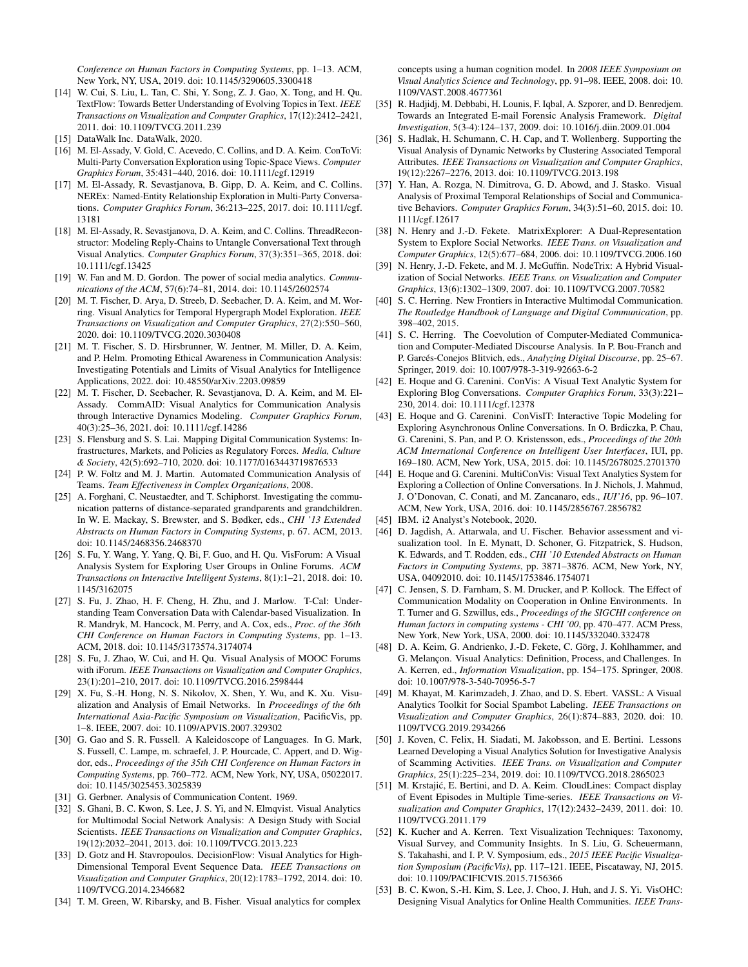*Conference on Human Factors in Computing Systems*, pp. 1–13. ACM, New York, NY, USA, 2019. doi: 10.1145/3290605.3300418

- <span id="page-9-27"></span>[14] W. Cui, S. Liu, L. Tan, C. Shi, Y. Song, Z. J. Gao, X. Tong, and H. Qu. TextFlow: Towards Better Understanding of Evolving Topics in Text. *IEEE Transactions on Visualization and Computer Graphics*, 17(12):2412–2421, 2011. doi: 10.1109/TVCG.2011.239
- <span id="page-9-9"></span>[15] DataWalk Inc. DataWalk, 2020.
- <span id="page-9-28"></span>[16] M. El-Assady, V. Gold, C. Acevedo, C. Collins, and D. A. Keim. ConToVi: Multi-Party Conversation Exploration using Topic-Space Views. *Computer Graphics Forum*, 35:431–440, 2016. doi: 10.1111/cgf.12919
- <span id="page-9-30"></span>[17] M. El-Assady, R. Sevastjanova, B. Gipp, D. A. Keim, and C. Collins. NEREx: Named-Entity Relationship Exploration in Multi-Party Conversations. *Computer Graphics Forum*, 36:213–225, 2017. doi: 10.1111/cgf. 13181
- <span id="page-9-31"></span>[18] M. El-Assady, R. Sevastjanova, D. A. Keim, and C. Collins. ThreadReconstructor: Modeling Reply-Chains to Untangle Conversational Text through Visual Analytics. *Computer Graphics Forum*, 37(3):351–365, 2018. doi: 10.1111/cgf.13425
- <span id="page-9-4"></span>[19] W. Fan and M. D. Gordon. The power of social media analytics. *Communications of the ACM*, 57(6):74–81, 2014. doi: 10.1145/2602574
- <span id="page-9-26"></span>[20] M. T. Fischer, D. Arya, D. Streeb, D. Seebacher, D. A. Keim, and M. Worring. Visual Analytics for Temporal Hypergraph Model Exploration. *IEEE Transactions on Visualization and Computer Graphics*, 27(2):550–560, 2020. doi: 10.1109/TVCG.2020.3030408
- <span id="page-9-5"></span>[21] M. T. Fischer, S. D. Hirsbrunner, W. Jentner, M. Miller, D. A. Keim, and P. Helm. Promoting Ethical Awareness in Communication Analysis: Investigating Potentials and Limits of Visual Analytics for Intelligence Applications, 2022. doi: 10.48550/arXiv.2203.09859
- <span id="page-9-3"></span>[22] M. T. Fischer, D. Seebacher, R. Sevastjanova, D. A. Keim, and M. El-Assady. CommAID: Visual Analytics for Communication Analysis through Interactive Dynamics Modeling. *Computer Graphics Forum*, 40(3):25–36, 2021. doi: 10.1111/cgf.14286
- <span id="page-9-6"></span>[23] S. Flensburg and S. S. Lai. Mapping Digital Communication Systems: Infrastructures, Markets, and Policies as Regulatory Forces. *Media, Culture & Society*, 42(5):692–710, 2020. doi: 10.1177/0163443719876533
- <span id="page-9-2"></span>[24] P. W. Foltz and M. J. Martin. Automated Communication Analysis of Teams. *Team Effectiveness in Complex Organizations*, 2008.
- <span id="page-9-23"></span>[25] A. Forghani, C. Neustaedter, and T. Schiphorst. Investigating the communication patterns of distance-separated grandparents and grandchildren. In W. E. Mackay, S. Brewster, and S. Bødker, eds., *CHI '13 Extended Abstracts on Human Factors in Computing Systems*, p. 67. ACM, 2013. doi: 10.1145/2468356.2468370
- <span id="page-9-20"></span>[26] S. Fu, Y. Wang, Y. Yang, O. Bi, F. Guo, and H. Qu. VisForum: A Visual Analysis System for Exploring User Groups in Online Forums. *ACM Transactions on Interactive Intelligent Systems*, 8(1):1–21, 2018. doi: 10. 1145/3162075
- <span id="page-9-35"></span>[27] S. Fu, J. Zhao, H. F. Cheng, H. Zhu, and J. Marlow. T-Cal: Understanding Team Conversation Data with Calendar-based Visualization. In R. Mandryk, M. Hancock, M. Perry, and A. Cox, eds., *Proc. of the 36th CHI Conference on Human Factors in Computing Systems*, pp. 1–13. ACM, 2018. doi: 10.1145/3173574.3174074
- <span id="page-9-33"></span>[28] S. Fu, J. Zhao, W. Cui, and H. Qu. Visual Analysis of MOOC Forums with iForum. *IEEE Transactions on Visualization and Computer Graphics*, 23(1):201–210, 2017. doi: 10.1109/TVCG.2016.2598444
- <span id="page-9-18"></span>[29] X. Fu, S.-H. Hong, N. S. Nikolov, X. Shen, Y. Wu, and K. Xu. Visualization and Analysis of Email Networks. In *Proceedings of the 6th International Asia-Pacific Symposium on Visualization*, PacificVis, pp. 1–8. IEEE, 2007. doi: 10.1109/APVIS.2007.329302
- <span id="page-9-24"></span>[30] G. Gao and S. R. Fussell. A Kaleidoscope of Languages. In G. Mark, S. Fussell, C. Lampe, m. schraefel, J. P. Hourcade, C. Appert, and D. Wigdor, eds., *Proceedings of the 35th CHI Conference on Human Factors in Computing Systems*, pp. 760–772. ACM, New York, NY, USA, 05022017. doi: 10.1145/3025453.3025839
- <span id="page-9-13"></span>[31] G. Gerbner. Analysis of Communication Content. 1969.
- <span id="page-9-10"></span>[32] S. Ghani, B. C. Kwon, S. Lee, J. S. Yi, and N. Elmqvist. Visual Analytics for Multimodal Social Network Analysis: A Design Study with Social Scientists. *IEEE Transactions on Visualization and Computer Graphics*, 19(12):2032–2041, 2013. doi: 10.1109/TVCG.2013.223
- <span id="page-9-32"></span>[33] D. Gotz and H. Stavropoulos. DecisionFlow: Visual Analytics for High-Dimensional Temporal Event Sequence Data. *IEEE Transactions on Visualization and Computer Graphics*, 20(12):1783–1792, 2014. doi: 10. 1109/TVCG.2014.2346682
- <span id="page-9-39"></span>[34] T. M. Green, W. Ribarsky, and B. Fisher. Visual analytics for complex

concepts using a human cognition model. In *2008 IEEE Symposium on Visual Analytics Science and Technology*, pp. 91–98. IEEE, 2008. doi: 10. 1109/VAST.2008.4677361

- <span id="page-9-7"></span>[35] R. Hadjidj, M. Debbabi, H. Lounis, F. Iqbal, A. Szporer, and D. Benredjem. Towards an Integrated E-mail Forensic Analysis Framework. *Digital Investigation*, 5(3-4):124–137, 2009. doi: 10.1016/j.diin.2009.01.004
- <span id="page-9-36"></span>[36] S. Hadlak, H. Schumann, C. H. Cap, and T. Wollenberg. Supporting the Visual Analysis of Dynamic Networks by Clustering Associated Temporal Attributes. *IEEE Transactions on Visualization and Computer Graphics*, 19(12):2267–2276, 2013. doi: 10.1109/TVCG.2013.198
- <span id="page-9-34"></span>[37] Y. Han, A. Rozga, N. Dimitrova, G. D. Abowd, and J. Stasko. Visual Analysis of Proximal Temporal Relationships of Social and Communicative Behaviors. *Computer Graphics Forum*, 34(3):51–60, 2015. doi: 10. 1111/cgf.12617
- <span id="page-9-15"></span>[38] N. Henry and J.-D. Fekete. MatrixExplorer: A Dual-Representation System to Explore Social Networks. *IEEE Trans. on Visualization and Computer Graphics*, 12(5):677–684, 2006. doi: 10.1109/TVCG.2006.160
- <span id="page-9-16"></span>[39] N. Henry, J.-D. Fekete, and M. J. McGuffin. NodeTrix: A Hybrid Visualization of Social Networks. *IEEE Trans. on Visualization and Computer Graphics*, 13(6):1302–1309, 2007. doi: 10.1109/TVCG.2007.70582
- <span id="page-9-11"></span>[40] S. C. Herring. New Frontiers in Interactive Multimodal Communication. *The Routledge Handbook of Language and Digital Communication*, pp. 398–402, 2015.
- <span id="page-9-1"></span>[41] S. C. Herring. The Coevolution of Computer-Mediated Communication and Computer-Mediated Discourse Analysis. In P. Bou-Franch and P. Garcés-Conejos Blitvich, eds., *Analyzing Digital Discourse*, pp. 25–67. Springer, 2019. doi: 10.1007/978-3-319-92663-6-2
- <span id="page-9-29"></span>[42] E. Hoque and G. Carenini. ConVis: A Visual Text Analytic System for Exploring Blog Conversations. *Computer Graphics Forum*, 33(3):221– 230, 2014. doi: 10.1111/cgf.12378
- <span id="page-9-21"></span>[43] E. Hoque and G. Carenini. ConVisIT: Interactive Topic Modeling for Exploring Asynchronous Online Conversations. In O. Brdiczka, P. Chau, G. Carenini, S. Pan, and P. O. Kristensson, eds., *Proceedings of the 20th ACM International Conference on Intelligent User Interfaces*, IUI, pp. 169–180. ACM, New York, USA, 2015. doi: 10.1145/2678025.2701370
- <span id="page-9-22"></span>[44] E. Hoque and G. Carenini. MultiConVis: Visual Text Analytics System for Exploring a Collection of Online Conversations. In J. Nichols, J. Mahmud, J. O'Donovan, C. Conati, and M. Zancanaro, eds., *IUI'16*, pp. 96–107. ACM, New York, USA, 2016. doi: 10.1145/2856767.2856782
- <span id="page-9-14"></span>[45] IBM. i2 Analyst's Notebook, 2020.
- <span id="page-9-25"></span>[46] D. Jagdish, A. Attarwala, and U. Fischer. Behavior assessment and visualization tool. In E. Mynatt, D. Schoner, G. Fitzpatrick, S. Hudson, K. Edwards, and T. Rodden, eds., *CHI '10 Extended Abstracts on Human Factors in Computing Systems*, pp. 3871–3876. ACM, New York, NY, USA, 04092010. doi: 10.1145/1753846.1754071
- <span id="page-9-12"></span>C. Jensen, S. D. Farnham, S. M. Drucker, and P. Kollock. The Effect of Communication Modality on Cooperation in Online Environments. In T. Turner and G. Szwillus, eds., *Proceedings of the SIGCHI conference on Human factors in computing systems - CHI '00*, pp. 470–477. ACM Press, New York, New York, USA, 2000. doi: 10.1145/332040.332478
- <span id="page-9-0"></span>[48] D. A. Keim, G. Andrienko, J.-D. Fekete, C. Görg, J. Kohlhammer, and G. Melançon. Visual Analytics: Definition, Process, and Challenges. In A. Kerren, ed., *Information Visualization*, pp. 154–175. Springer, 2008. doi: 10.1007/978-3-540-70956-5-7
- <span id="page-9-38"></span>[49] M. Khayat, M. Karimzadeh, J. Zhao, and D. S. Ebert. VASSL: A Visual Analytics Toolkit for Social Spambot Labeling. *IEEE Transactions on Visualization and Computer Graphics*, 26(1):874–883, 2020. doi: 10. 1109/TVCG.2019.2934266
- <span id="page-9-8"></span>[50] J. Koven, C. Felix, H. Siadati, M. Jakobsson, and E. Bertini. Lessons Learned Developing a Visual Analytics Solution for Investigative Analysis of Scamming Activities. *IEEE Trans. on Visualization and Computer Graphics*, 25(1):225–234, 2019. doi: 10.1109/TVCG.2018.2865023
- <span id="page-9-17"></span>[51] M. Krstajić, E. Bertini, and D. A. Keim. CloudLines: Compact display of Event Episodes in Multiple Time-series. *IEEE Transactions on Visualization and Computer Graphics*, 17(12):2432–2439, 2011. doi: 10. 1109/TVCG.2011.179
- <span id="page-9-19"></span>[52] K. Kucher and A. Kerren. Text Visualization Techniques: Taxonomy, Visual Survey, and Community Insights. In S. Liu, G. Scheuermann, S. Takahashi, and I. P. V. Symposium, eds., *2015 IEEE Pacific Visualization Symposium (PacificVis)*, pp. 117–121. IEEE, Piscataway, NJ, 2015. doi: 10.1109/PACIFICVIS.2015.7156366
- <span id="page-9-37"></span>[53] B. C. Kwon, S.-H. Kim, S. Lee, J. Choo, J. Huh, and J. S. Yi. VisOHC: Designing Visual Analytics for Online Health Communities. *IEEE Trans-*